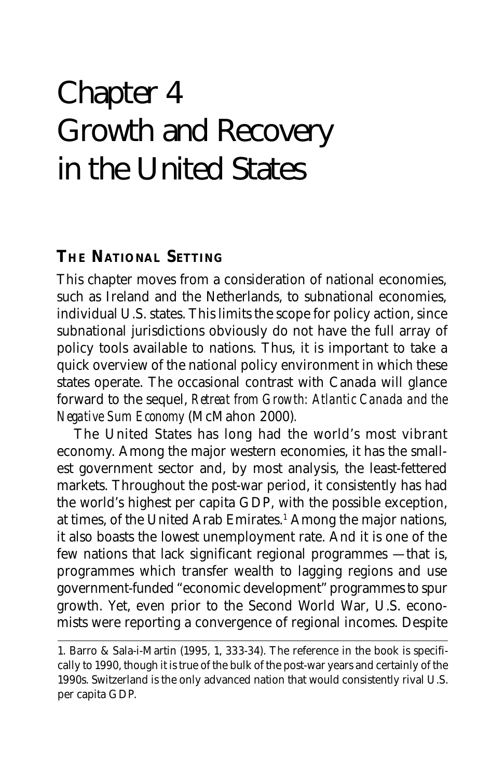# Chapter 4 Growth and Recovery in the United States

# **THE NATIONAL SETTING**

This chapter moves from a consideration of national economies, such as Ireland and the Netherlands, to subnational economies, individual U.S. states. This limits the scope for policy action, since subnational jurisdictions obviously do not have the full array of policy tools available to nations. Thus, it is important to take a quick overview of the national policy environment in which these states operate. The occasional contrast with Canada will glance forward to the sequel, *Retreat from Growth: Atlantic Canada and the Negative Sum Economy* (McMahon 2000)*.*

The United States has long had the world's most vibrant economy. Among the major western economies, it has the smallest government sector and, by most analysis, the least-fettered markets. Throughout the post-war period, it consistently has had the world's highest per capita GDP, with the possible exception, at times, of the United Arab Emirates.<sup>1</sup> Among the major nations, it also boasts the lowest unemployment rate. And it is one of the few nations that lack significant regional programmes — that is, programmes which transfer wealth to lagging regions and use government-funded "economic development" programmes to spur growth. Yet, even prior to the Second World War, U.S. economists were reporting a convergence of regional incomes. Despite

<sup>1.</sup> Barro & Sala-i-Martin (1995, 1, 333-34). The reference in the book is specifically to 1990, though it is true of the bulk of the post-war years and certainly of the 1990s. Switzerland is the only advanced nation that would consistently rival U.S. per capita GDP.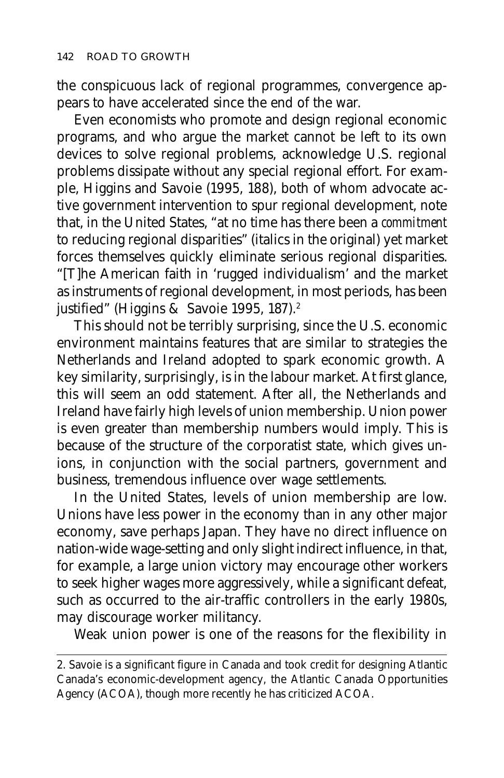the conspicuous lack of regional programmes, convergence appears to have accelerated since the end of the war.

Even economists who promote and design regional economic programs, and who argue the market cannot be left to its own devices to solve regional problems, acknowledge U.S. regional problems dissipate without any special regional effort. For example, Higgins and Savoie (1995, 188), both of whom advocate active government intervention to spur regional development, note that, in the United States, "at no time has there been a *commitment* to reducing regional disparities" (italics in the original) yet market forces themselves quickly eliminate serious regional disparities. "[T]he American faith in 'rugged individualism' and the market as instruments of regional development, in most periods, has been justified" (Higgins & Savoie 1995, 187).<sup>2</sup>

This should not be terribly surprising, since the U.S. economic environment maintains features that are similar to strategies the Netherlands and Ireland adopted to spark economic growth. A key similarity, surprisingly, is in the labour market. At first glance, this will seem an odd statement. After all, the Netherlands and Ireland have fairly high levels of union membership. Union power is even greater than membership numbers would imply. This is because of the structure of the corporatist state, which gives unions, in conjunction with the social partners, government and business, tremendous influence over wage settlements.

In the United States, levels of union membership are low. Unions have less power in the economy than in any other major economy, save perhaps Japan. They have no direct influence on nation-wide wage-setting and only slight indirect influence, in that, for example, a large union victory may encourage other workers to seek higher wages more aggressively, while a significant defeat, such as occurred to the air-traffic controllers in the early 1980s, may discourage worker militancy.

Weak union power is one of the reasons for the flexibility in

<sup>2.</sup> Savoie is a significant figure in Canada and took credit for designing Atlantic Canada's economic-development agency, the Atlantic Canada Opportunities Agency (ACOA), though more recently he has criticized ACOA.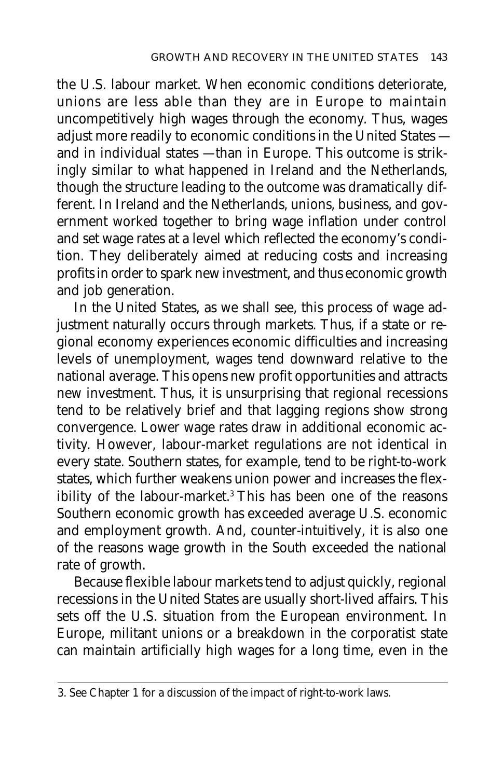the U.S. labour market. When economic conditions deteriorate, unions are less able than they are in Europe to maintain uncompetitively high wages through the economy. Thus, wages adjust more readily to economic conditions in the United States and in individual states — than in Europe. This outcome is strikingly similar to what happened in Ireland and the Netherlands, though the structure leading to the outcome was dramatically different. In Ireland and the Netherlands, unions, business, and government worked together to bring wage inflation under control and set wage rates at a level which reflected the economy's condition. They deliberately aimed at reducing costs and increasing profits in order to spark new investment, and thus economic growth and job generation.

In the United States, as we shall see, this process of wage adjustment naturally occurs through markets. Thus, if a state or regional economy experiences economic difficulties and increasing levels of unemployment, wages tend downward relative to the national average. This opens new profit opportunities and attracts new investment. Thus, it is unsurprising that regional recessions tend to be relatively brief and that lagging regions show strong convergence. Lower wage rates draw in additional economic activity. However, labour-market regulations are not identical in every state. Southern states, for example, tend to be right-to-work states, which further weakens union power and increases the flexibility of the labour-market.3 This has been one of the reasons Southern economic growth has exceeded average U.S. economic and employment growth. And, counter-intuitively, it is also one of the reasons wage growth in the South exceeded the national rate of growth.

Because flexible labour markets tend to adjust quickly, regional recessions in the United States are usually short-lived affairs. This sets off the U.S. situation from the European environment. In Europe, militant unions or a breakdown in the corporatist state can maintain artificially high wages for a long time, even in the

<sup>3.</sup> See Chapter 1 for a discussion of the impact of right-to-work laws.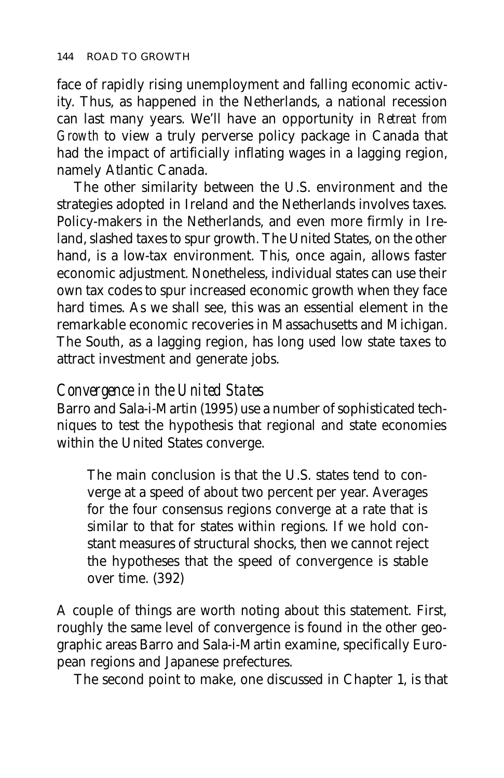face of rapidly rising unemployment and falling economic activity. Thus, as happened in the Netherlands, a national recession can last many years. We'll have an opportunity in *Retreat from Growth* to view a truly perverse policy package in Canada that had the impact of artificially inflating wages in a lagging region, namely Atlantic Canada.

The other similarity between the U.S. environment and the strategies adopted in Ireland and the Netherlands involves taxes. Policy-makers in the Netherlands, and even more firmly in Ireland, slashed taxes to spur growth. The United States, on the other hand, is a low-tax environment. This, once again, allows faster economic adjustment. Nonetheless, individual states can use their own tax codes to spur increased economic growth when they face hard times. As we shall see, this was an essential element in the remarkable economic recoveries in Massachusetts and Michigan. The South, as a lagging region, has long used low state taxes to attract investment and generate jobs.

# *Convergence in the United States*

Barro and Sala-i-Martin (1995) use a number of sophisticated techniques to test the hypothesis that regional and state economies within the United States converge.

The main conclusion is that the U.S. states tend to converge at a speed of about two percent per year. Averages for the four consensus regions converge at a rate that is similar to that for states within regions. If we hold constant measures of structural shocks, then we cannot reject the hypotheses that the speed of convergence is stable over time. (392)

A couple of things are worth noting about this statement. First, roughly the same level of convergence is found in the other geographic areas Barro and Sala-i-Martin examine, specifically European regions and Japanese prefectures.

The second point to make, one discussed in Chapter 1, is that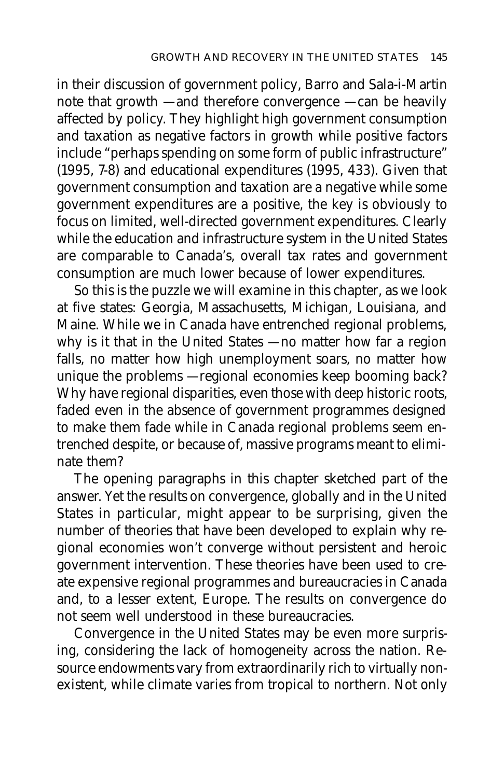in their discussion of government policy, Barro and Sala-i-Martin note that growth — and therefore convergence — can be heavily affected by policy. They highlight high government consumption and taxation as negative factors in growth while positive factors include "perhaps spending on some form of public infrastructure" (1995, 7-8) and educational expenditures (1995, 433). Given that government consumption and taxation are a negative while some government expenditures are a positive, the key is obviously to focus on limited, well-directed government expenditures. Clearly while the education and infrastructure system in the United States are comparable to Canada's, overall tax rates and government consumption are much lower because of lower expenditures.

So this is the puzzle we will examine in this chapter, as we look at five states: Georgia, Massachusetts, Michigan, Louisiana, and Maine. While we in Canada have entrenched regional problems, why is it that in the United States — no matter how far a region falls, no matter how high unemployment soars, no matter how unique the problems — regional economies keep booming back? Why have regional disparities, even those with deep historic roots, faded even in the absence of government programmes designed to make them fade while in Canada regional problems seem entrenched despite, or because of, massive programs meant to eliminate them?

The opening paragraphs in this chapter sketched part of the answer. Yet the results on convergence, globally and in the United States in particular, might appear to be surprising, given the number of theories that have been developed to explain why regional economies won't converge without persistent and heroic government intervention. These theories have been used to create expensive regional programmes and bureaucracies in Canada and, to a lesser extent, Europe. The results on convergence do not seem well understood in these bureaucracies.

Convergence in the United States may be even more surprising, considering the lack of homogeneity across the nation. Resource endowments vary from extraordinarily rich to virtually nonexistent, while climate varies from tropical to northern. Not only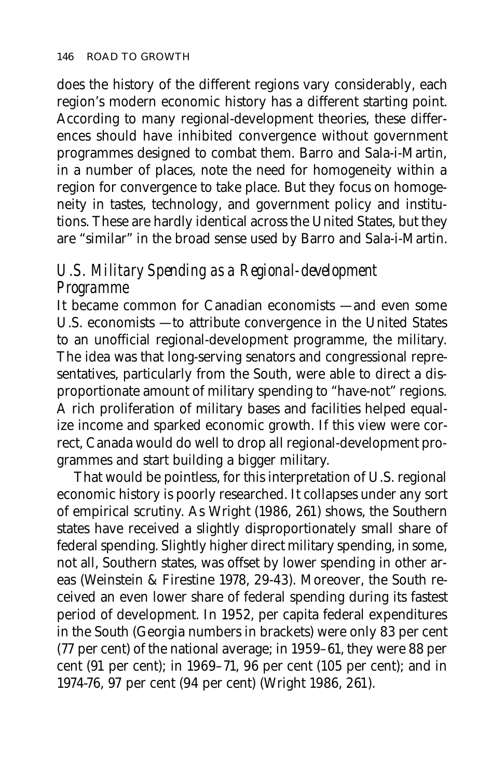does the history of the different regions vary considerably, each region's modern economic history has a different starting point. According to many regional-development theories, these differences should have inhibited convergence without government programmes designed to combat them. Barro and Sala-i-Martin, in a number of places, note the need for homogeneity within a region for convergence to take place. But they focus on homogeneity in tastes, technology, and government policy and institutions. These are hardly identical across the United States, but they are "similar" in the broad sense used by Barro and Sala-i-Martin.

# *U.S. Military Spending as a Regional-development Programme*

It became common for Canadian economists — and even some U.S. economists — to attribute convergence in the United States to an unofficial regional-development programme, the military. The idea was that long-serving senators and congressional representatives, particularly from the South, were able to direct a disproportionate amount of military spending to "have-not" regions. A rich proliferation of military bases and facilities helped equalize income and sparked economic growth. If this view were correct, Canada would do well to drop all regional-development programmes and start building a bigger military.

That would be pointless, for this interpretation of U.S. regional economic history is poorly researched. It collapses under any sort of empirical scrutiny. As Wright (1986, 261) shows, the Southern states have received a slightly disproportionately small share of federal spending. Slightly higher direct military spending, in some, not all, Southern states, was offset by lower spending in other areas (Weinstein & Firestine 1978, 29-43). Moreover, the South received an even lower share of federal spending during its fastest period of development. In 1952, per capita federal expenditures in the South (Georgia numbers in brackets) were only 83 per cent (77 per cent) of the national average; in 1959–61, they were 88 per cent (91 per cent); in 1969–71, 96 per cent (105 per cent); and in 1974-76, 97 per cent (94 per cent) (Wright 1986, 261).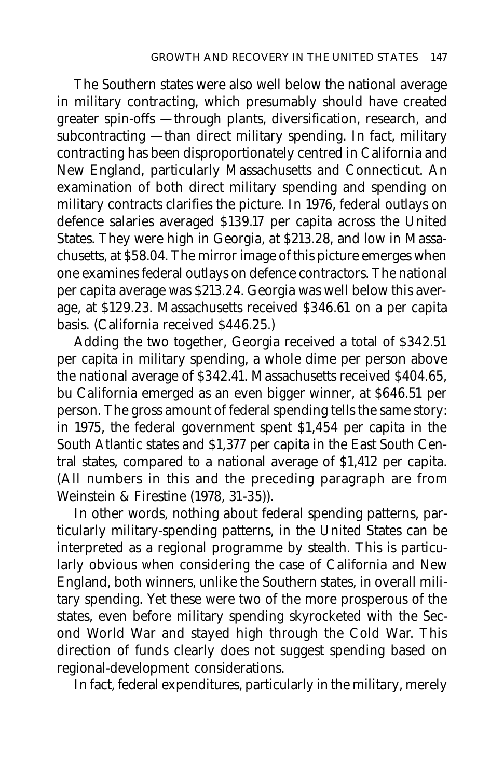The Southern states were also well below the national average in military contracting, which presumably should have created greater spin-offs — through plants, diversification, research, and subcontracting — than direct military spending. In fact, military contracting has been disproportionately centred in California and New England, particularly Massachusetts and Connecticut. An examination of both direct military spending and spending on military contracts clarifies the picture. In 1976, federal outlays on defence salaries averaged \$139.17 per capita across the United States. They were high in Georgia, at \$213.28, and low in Massachusetts, at \$58.04. The mirror image of this picture emerges when one examines federal outlays on defence contractors. The national per capita average was \$213.24. Georgia was well below this average, at \$129.23. Massachusetts received \$346.61 on a per capita basis. (California received \$446.25.)

Adding the two together, Georgia received a total of \$342.51 per capita in military spending, a whole dime per person above the national average of \$342.41. Massachusetts received \$404.65, bu California emerged as an even bigger winner, at \$646.51 per person. The gross amount of federal spending tells the same story: in 1975, the federal government spent \$1,454 per capita in the South Atlantic states and \$1,377 per capita in the East South Central states, compared to a national average of \$1,412 per capita. (All numbers in this and the preceding paragraph are from Weinstein & Firestine (1978, 31-35)).

In other words, nothing about federal spending patterns, particularly military-spending patterns, in the United States can be interpreted as a regional programme by stealth. This is particularly obvious when considering the case of California and New England, both winners, unlike the Southern states, in overall military spending. Yet these were two of the more prosperous of the states, even before military spending skyrocketed with the Second World War and stayed high through the Cold War. This direction of funds clearly does not suggest spending based on regional-development considerations.

In fact, federal expenditures, particularly in the military, merely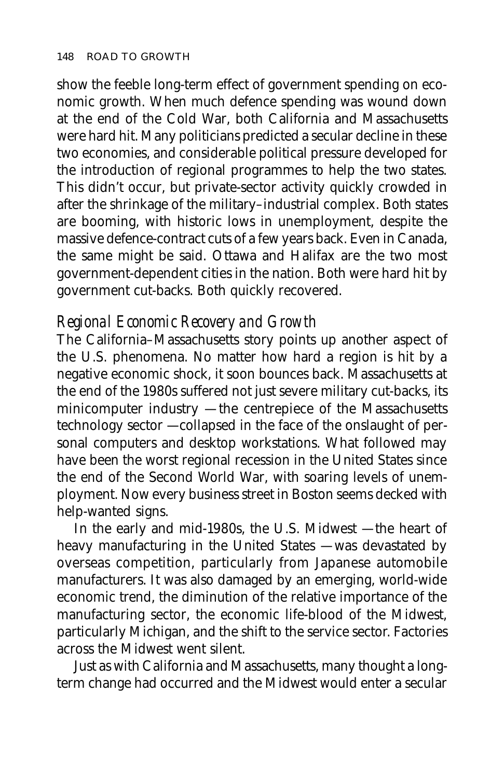show the feeble long-term effect of government spending on economic growth. When much defence spending was wound down at the end of the Cold War, both California and Massachusetts were hard hit. Many politicians predicted a secular decline in these two economies, and considerable political pressure developed for the introduction of regional programmes to help the two states. This didn't occur, but private-sector activity quickly crowded in after the shrinkage of the military–industrial complex. Both states are booming, with historic lows in unemployment, despite the massive defence-contract cuts of a few years back. Even in Canada, the same might be said. Ottawa and Halifax are the two most government-dependent cities in the nation. Both were hard hit by government cut-backs. Both quickly recovered.

## *Regional Economic Recovery and Growth*

The California–Massachusetts story points up another aspect of the U.S. phenomena. No matter how hard a region is hit by a negative economic shock, it soon bounces back. Massachusetts at the end of the 1980s suffered not just severe military cut-backs, its minicomputer industry — the centrepiece of the Massachusetts technology sector — collapsed in the face of the onslaught of personal computers and desktop workstations. What followed may have been the worst regional recession in the United States since the end of the Second World War, with soaring levels of unemployment. Now every business street in Boston seems decked with help-wanted signs.

In the early and mid-1980s, the U.S. Midwest — the heart of heavy manufacturing in the United States — was devastated by overseas competition, particularly from Japanese automobile manufacturers. It was also damaged by an emerging, world-wide economic trend, the diminution of the relative importance of the manufacturing sector, the economic life-blood of the Midwest, particularly Michigan, and the shift to the service sector. Factories across the Midwest went silent.

Just as with California and Massachusetts, many thought a longterm change had occurred and the Midwest would enter a secular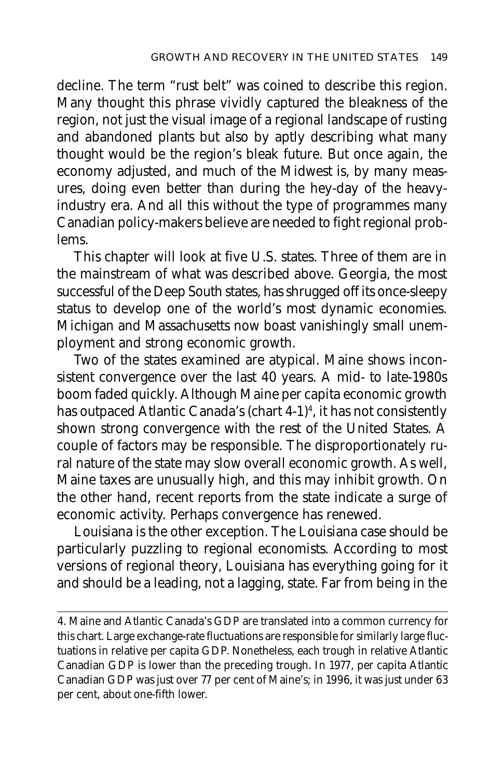decline. The term "rust belt" was coined to describe this region. Many thought this phrase vividly captured the bleakness of the region, not just the visual image of a regional landscape of rusting and abandoned plants but also by aptly describing what many thought would be the region's bleak future. But once again, the economy adjusted, and much of the Midwest is, by many measures, doing even better than during the hey-day of the heavyindustry era. And all this without the type of programmes many Canadian policy-makers believe are needed to fight regional problems.

This chapter will look at five U.S. states. Three of them are in the mainstream of what was described above. Georgia, the most successful of the Deep South states, has shrugged off its once-sleepy status to develop one of the world's most dynamic economies. Michigan and Massachusetts now boast vanishingly small unemployment and strong economic growth.

Two of the states examined are atypical. Maine shows inconsistent convergence over the last 40 years. A mid- to late-1980s boom faded quickly. Although Maine per capita economic growth has outpaced Atlantic Canada's (chart 4-1)4 , it has not consistently shown strong convergence with the rest of the United States. A couple of factors may be responsible. The disproportionately rural nature of the state may slow overall economic growth. As well, Maine taxes are unusually high, and this may inhibit growth. On the other hand, recent reports from the state indicate a surge of economic activity. Perhaps convergence has renewed.

Louisiana is the other exception. The Louisiana case should be particularly puzzling to regional economists. According to most versions of regional theory, Louisiana has everything going for it and should be a leading, not a lagging, state. Far from being in the

<sup>4.</sup> Maine and Atlantic Canada's GDP are translated into a common currency for this chart. Large exchange-rate fluctuations are responsible for similarly large fluctuations in relative per capita GDP. Nonetheless, each trough in relative Atlantic Canadian GDP is lower than the preceding trough. In 1977, per capita Atlantic Canadian GDP was just over 77 per cent of Maine's; in 1996, it was just under 63 per cent, about one-fifth lower.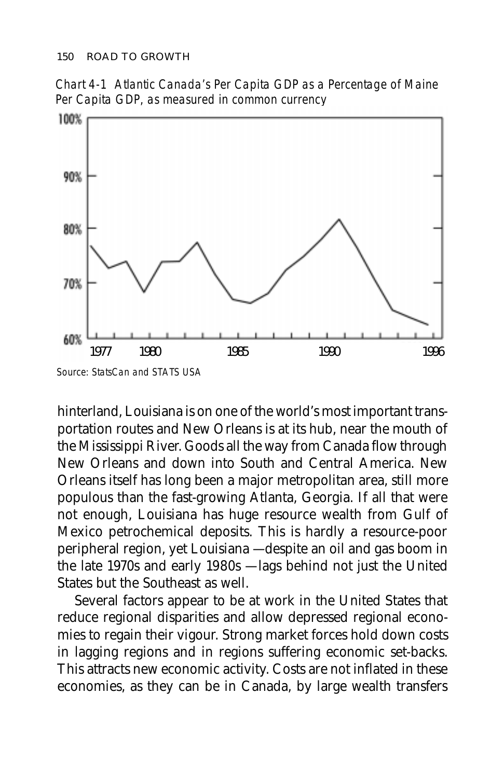Chart 4-1 Atlantic Canada's Per Capita GDP as a Percentage of Maine Per Capita GDP, as measured in common currency



Source: StatsCan and STATS USA

hinterland, Louisiana is on one of the world's most important transportation routes and New Orleans is at its hub, near the mouth of the Mississippi River. Goods all the way from Canada flow through New Orleans and down into South and Central America. New Orleans itself has long been a major metropolitan area, still more populous than the fast-growing Atlanta, Georgia. If all that were not enough, Louisiana has huge resource wealth from Gulf of Mexico petrochemical deposits. This is hardly a resource-poor peripheral region, yet Louisiana — despite an oil and gas boom in the late 1970s and early 1980s — lags behind not just the United States but the Southeast as well.

Several factors appear to be at work in the United States that reduce regional disparities and allow depressed regional economies to regain their vigour. Strong market forces hold down costs in lagging regions and in regions suffering economic set-backs. This attracts new economic activity. Costs are not inflated in these economies, as they can be in Canada, by large wealth transfers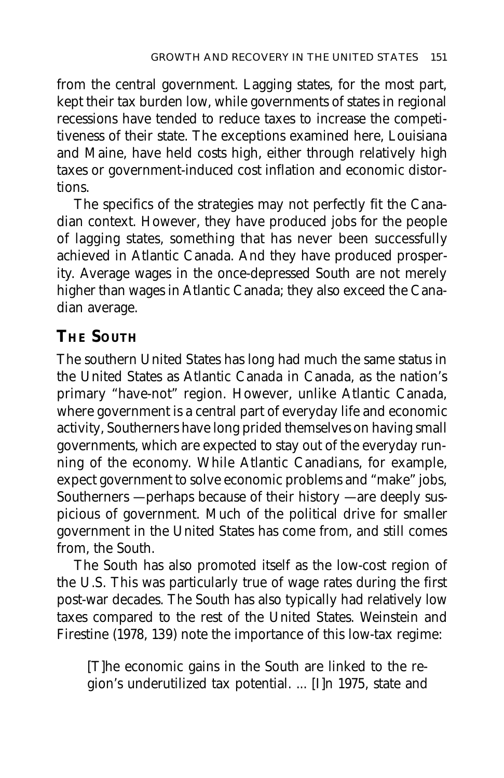from the central government. Lagging states, for the most part, kept their tax burden low, while governments of states in regional recessions have tended to reduce taxes to increase the competitiveness of their state. The exceptions examined here, Louisiana and Maine, have held costs high, either through relatively high taxes or government-induced cost inflation and economic distortions.

The specifics of the strategies may not perfectly fit the Canadian context. However, they have produced jobs for the people of lagging states, something that has never been successfully achieved in Atlantic Canada. And they have produced prosperity. Average wages in the once-depressed South are not merely higher than wages in Atlantic Canada; they also exceed the Canadian average.

# **THE SOUTH**

The southern United States has long had much the same status in the United States as Atlantic Canada in Canada, as the nation's primary "have-not" region. However, unlike Atlantic Canada, where government is a central part of everyday life and economic activity, Southerners have long prided themselves on having small governments, which are expected to stay out of the everyday running of the economy. While Atlantic Canadians, for example, expect government to solve economic problems and "make" jobs, Southerners  $-$  perhaps because of their history  $-$  are deeply suspicious of government. Much of the political drive for smaller government in the United States has come from, and still comes from, the South.

The South has also promoted itself as the low-cost region of the U.S. This was particularly true of wage rates during the first post-war decades. The South has also typically had relatively low taxes compared to the rest of the United States. Weinstein and Firestine (1978, 139) note the importance of this low-tax regime:

[T]he economic gains in the South are linked to the region's underutilized tax potential. ... [I]n 1975, state and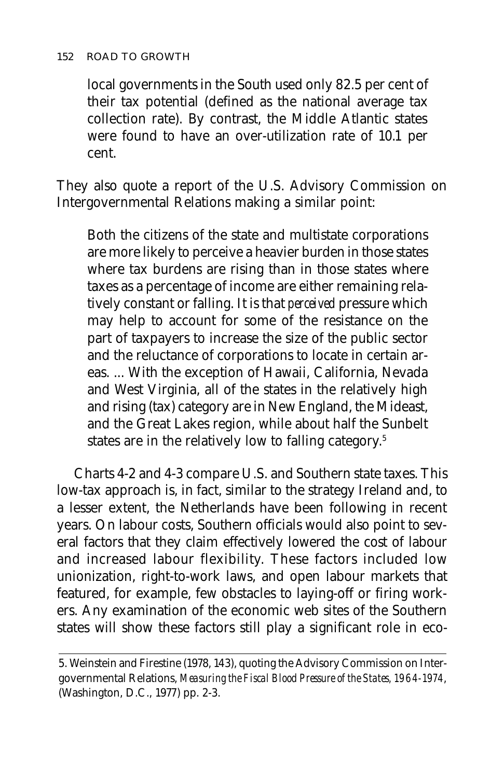#### 152 ROAD TO GROWTH

local governments in the South used only 82.5 per cent of their tax potential (defined as the national average tax collection rate). By contrast, the Middle Atlantic states were found to have an over-utilization rate of 10.1 per cent.

They also quote a report of the U.S. Advisory Commission on Intergovernmental Relations making a similar point:

Both the citizens of the state and multistate corporations are more likely to perceive a heavier burden in those states where tax burdens are rising than in those states where taxes as a percentage of income are either remaining relatively constant or falling. It is that *perceived* pressure which may help to account for some of the resistance on the part of taxpayers to increase the size of the public sector and the reluctance of corporations to locate in certain areas. ... With the exception of Hawaii, California, Nevada and West Virginia, all of the states in the relatively high and rising (tax) category are in New England, the Mideast, and the Great Lakes region, while about half the Sunbelt states are in the relatively low to falling category.<sup>5</sup>

Charts 4-2 and 4-3 compare U.S. and Southern state taxes. This low-tax approach is, in fact, similar to the strategy Ireland and, to a lesser extent, the Netherlands have been following in recent years. On labour costs, Southern officials would also point to several factors that they claim effectively lowered the cost of labour and increased labour flexibility. These factors included low unionization, right-to-work laws, and open labour markets that featured, for example, few obstacles to laying-off or firing workers. Any examination of the economic web sites of the Southern states will show these factors still play a significant role in eco-

<sup>5.</sup> Weinstein and Firestine (1978, 143), quoting the Advisory Commission on Intergovernmental Relations, *Measuring the Fiscal Blood Pressure of the States, 1964-1974*, (Washington, D.C., 1977) pp. 2-3.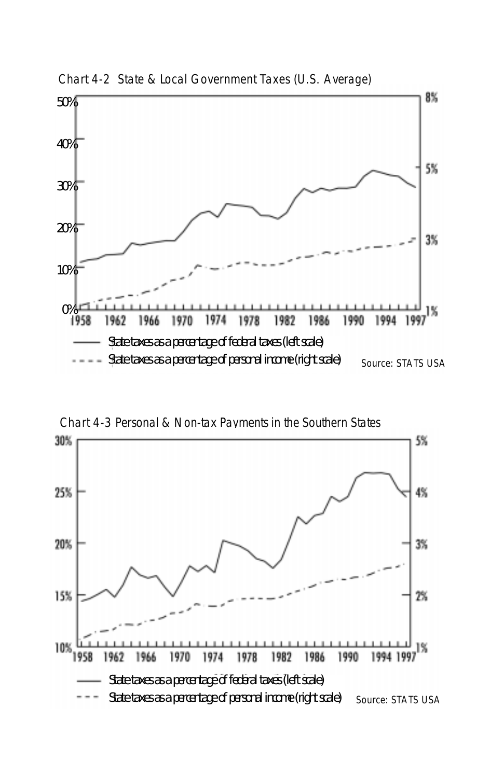

Chart 4-2 State & Local Government Taxes (U.S. Average)

Chart 4-3 Personal & Non-tax Payments in the Southern States

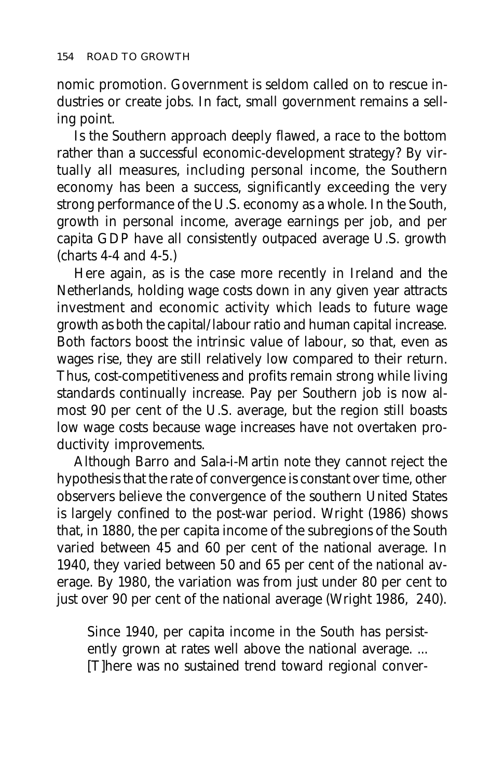nomic promotion. Government is seldom called on to rescue industries or create jobs. In fact, small government remains a selling point.

Is the Southern approach deeply flawed, a race to the bottom rather than a successful economic-development strategy? By virtually all measures, including personal income, the Southern economy has been a success, significantly exceeding the very strong performance of the U.S. economy as a whole. In the South, growth in personal income, average earnings per job, and per capita GDP have all consistently outpaced average U.S. growth (charts 4-4 and 4-5.)

Here again, as is the case more recently in Ireland and the Netherlands, holding wage costs down in any given year attracts investment and economic activity which leads to future wage growth as both the capital/labour ratio and human capital increase. Both factors boost the intrinsic value of labour, so that, even as wages rise, they are still relatively low compared to their return. Thus, cost-competitiveness and profits remain strong while living standards continually increase. Pay per Southern job is now almost 90 per cent of the U.S. average, but the region still boasts low wage costs because wage increases have not overtaken productivity improvements.

Although Barro and Sala-i-Martin note they cannot reject the hypothesis that the rate of convergence is constant over time, other observers believe the convergence of the southern United States is largely confined to the post-war period. Wright (1986) shows that, in 1880, the per capita income of the subregions of the South varied between 45 and 60 per cent of the national average. In 1940, they varied between 50 and 65 per cent of the national average. By 1980, the variation was from just under 80 per cent to just over 90 per cent of the national average (Wright 1986, 240).

Since 1940, per capita income in the South has persistently grown at rates well above the national average. ... [T]here was no sustained trend toward regional conver-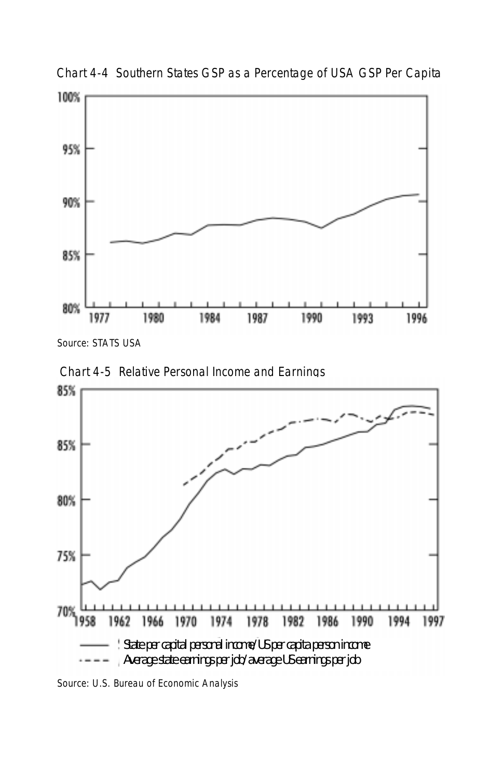

Chart 4-4 Southern States GSP as a Percentage of USA GSP Per Capita

Source: STATS USA





Source: U.S. Bureau of Economic Analysis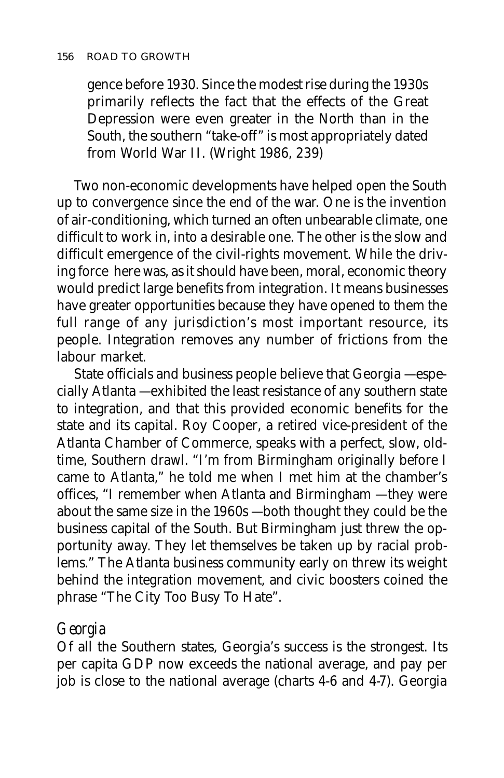gence before 1930. Since the modest rise during the 1930s primarily reflects the fact that the effects of the Great Depression were even greater in the North than in the South, the southern "take-off" is most appropriately dated from World War II. (Wright 1986, 239)

Two non-economic developments have helped open the South up to convergence since the end of the war. One is the invention of air-conditioning, which turned an often unbearable climate, one difficult to work in, into a desirable one. The other is the slow and difficult emergence of the civil-rights movement. While the driving force here was, as it should have been, moral, economic theory would predict large benefits from integration. It means businesses have greater opportunities because they have opened to them the full range of any jurisdiction's most important resource, its people. Integration removes any number of frictions from the labour market.

State officials and business people believe that Georgia — especially Atlanta — exhibited the least resistance of any southern state to integration, and that this provided economic benefits for the state and its capital. Roy Cooper, a retired vice-president of the Atlanta Chamber of Commerce, speaks with a perfect, slow, oldtime, Southern drawl. "I'm from Birmingham originally before I came to Atlanta," he told me when I met him at the chamber's offices, "I remember when Atlanta and Birmingham — they were about the same size in the 1960s — both thought they could be the business capital of the South. But Birmingham just threw the opportunity away. They let themselves be taken up by racial problems." The Atlanta business community early on threw its weight behind the integration movement, and civic boosters coined the phrase "The City Too Busy To Hate".

## *Georgia*

Of all the Southern states, Georgia's success is the strongest. Its per capita GDP now exceeds the national average, and pay per job is close to the national average (charts 4-6 and 4-7). Georgia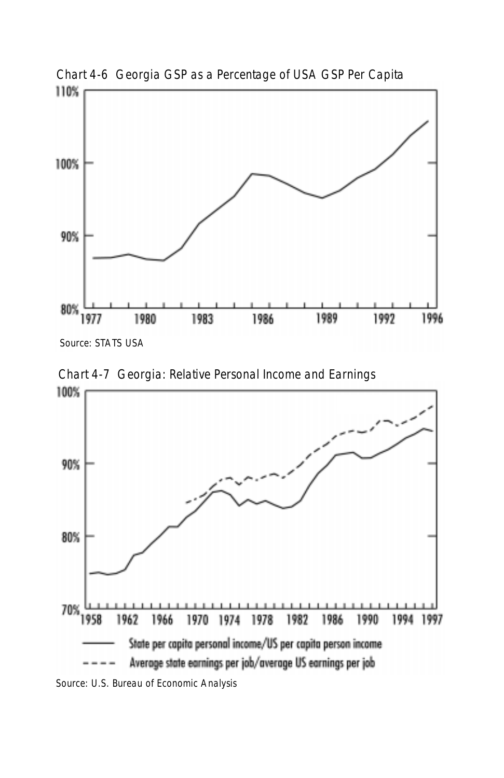

Chart 4-6 Georgia GSP as a Percentage of USA GSP Per Capita

Source: STATS USA

Chart 4-7 Georgia: Relative Personal Income and Earnings



Source: U.S. Bureau of Economic Analysis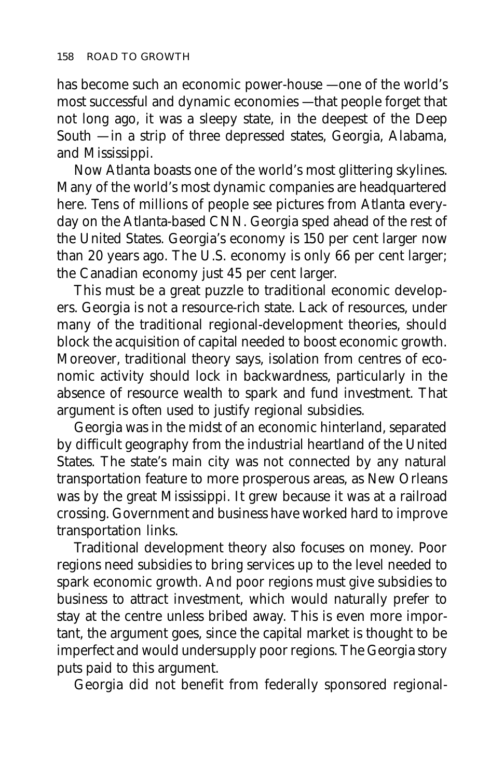has become such an economic power-house — one of the world's most successful and dynamic economies — that people forget that not long ago, it was a sleepy state, in the deepest of the Deep South — in a strip of three depressed states, Georgia, Alabama, and Mississippi.

Now Atlanta boasts one of the world's most glittering skylines. Many of the world's most dynamic companies are headquartered here. Tens of millions of people see pictures from Atlanta everyday on the Atlanta-based CNN. Georgia sped ahead of the rest of the United States. Georgia's economy is 150 per cent larger now than 20 years ago. The U.S. economy is only 66 per cent larger; the Canadian economy just 45 per cent larger.

This must be a great puzzle to traditional economic developers. Georgia is not a resource-rich state. Lack of resources, under many of the traditional regional-development theories, should block the acquisition of capital needed to boost economic growth. Moreover, traditional theory says, isolation from centres of economic activity should lock in backwardness, particularly in the absence of resource wealth to spark and fund investment. That argument is often used to justify regional subsidies.

Georgia was in the midst of an economic hinterland, separated by difficult geography from the industrial heartland of the United States. The state's main city was not connected by any natural transportation feature to more prosperous areas, as New Orleans was by the great Mississippi. It grew because it was at a railroad crossing. Government and business have worked hard to improve transportation links.

Traditional development theory also focuses on money. Poor regions need subsidies to bring services up to the level needed to spark economic growth. And poor regions must give subsidies to business to attract investment, which would naturally prefer to stay at the centre unless bribed away. This is even more important, the argument goes, since the capital market is thought to be imperfect and would undersupply poor regions. The Georgia story puts paid to this argument.

Georgia did not benefit from federally sponsored regional-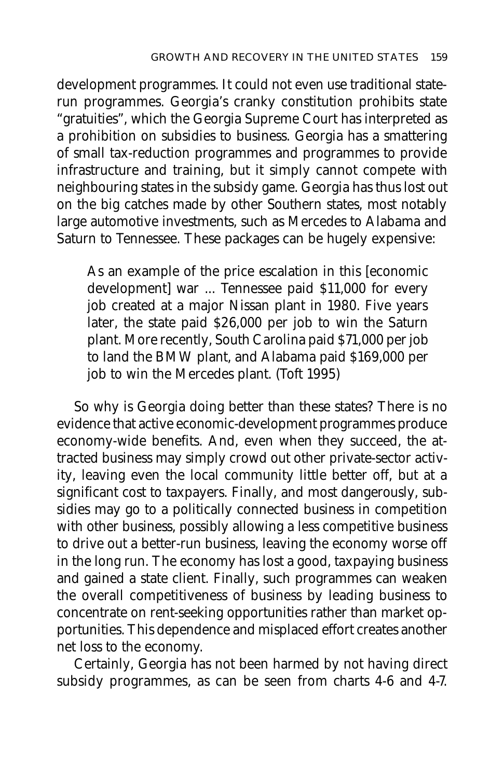development programmes. It could not even use traditional staterun programmes. Georgia's cranky constitution prohibits state "gratuities", which the Georgia Supreme Court has interpreted as a prohibition on subsidies to business. Georgia has a smattering of small tax-reduction programmes and programmes to provide infrastructure and training, but it simply cannot compete with neighbouring states in the subsidy game. Georgia has thus lost out on the big catches made by other Southern states, most notably large automotive investments, such as Mercedes to Alabama and Saturn to Tennessee. These packages can be hugely expensive:

As an example of the price escalation in this [economic development] war ... Tennessee paid \$11,000 for every job created at a major Nissan plant in 1980. Five years later, the state paid \$26,000 per job to win the Saturn plant. More recently, South Carolina paid \$71,000 per job to land the BMW plant, and Alabama paid \$169,000 per job to win the Mercedes plant. (Toft 1995)

So why is Georgia doing better than these states? There is no evidence that active economic-development programmes produce economy-wide benefits. And, even when they succeed, the attracted business may simply crowd out other private-sector activity, leaving even the local community little better off, but at a significant cost to taxpayers. Finally, and most dangerously, subsidies may go to a politically connected business in competition with other business, possibly allowing a less competitive business to drive out a better-run business, leaving the economy worse off in the long run. The economy has lost a good, taxpaying business and gained a state client. Finally, such programmes can weaken the overall competitiveness of business by leading business to concentrate on rent-seeking opportunities rather than market opportunities. This dependence and misplaced effort creates another net loss to the economy.

Certainly, Georgia has not been harmed by not having direct subsidy programmes, as can be seen from charts 4-6 and 4-7.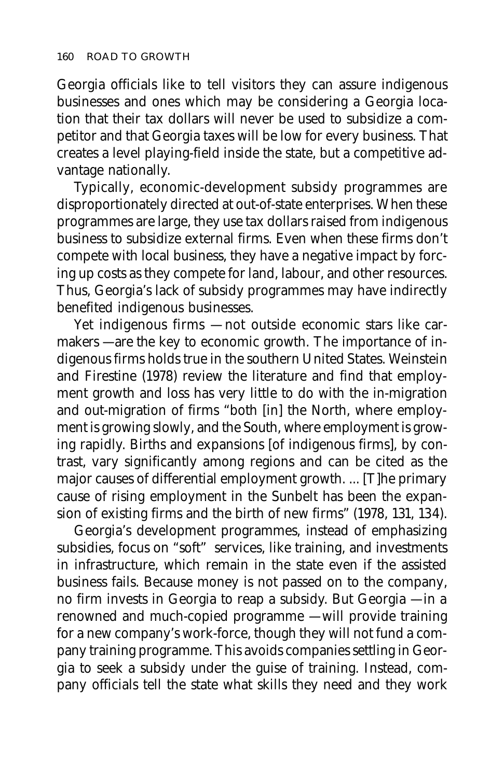Georgia officials like to tell visitors they can assure indigenous businesses and ones which may be considering a Georgia location that their tax dollars will never be used to subsidize a competitor and that Georgia taxes will be low for every business. That creates a level playing-field inside the state, but a competitive advantage nationally.

Typically, economic-development subsidy programmes are disproportionately directed at out-of-state enterprises. When these programmes are large, they use tax dollars raised from indigenous business to subsidize external firms. Even when these firms don't compete with local business, they have a negative impact by forcing up costs as they compete for land, labour, and other resources. Thus, Georgia's lack of subsidy programmes may have indirectly benefited indigenous businesses.

Yet indigenous firms — not outside economic stars like carmakers — are the key to economic growth. The importance of indigenous firms holds true in the southern United States. Weinstein and Firestine (1978) review the literature and find that employment growth and loss has very little to do with the in-migration and out-migration of firms "both [in] the North, where employment is growing slowly, and the South, where employment is growing rapidly. Births and expansions [of indigenous firms], by contrast, vary significantly among regions and can be cited as the major causes of differential employment growth. ... [T]he primary cause of rising employment in the Sunbelt has been the expansion of existing firms and the birth of new firms" (1978, 131, 134).

Georgia's development programmes, instead of emphasizing subsidies, focus on "soft" services, like training, and investments in infrastructure, which remain in the state even if the assisted business fails. Because money is not passed on to the company, no firm invests in Georgia to reap a subsidy. But Georgia — in a renowned and much-copied programme — will provide training for a new company's work-force, though they will not fund a company training programme. This avoids companies settling in Georgia to seek a subsidy under the guise of training. Instead, company officials tell the state what skills they need and they work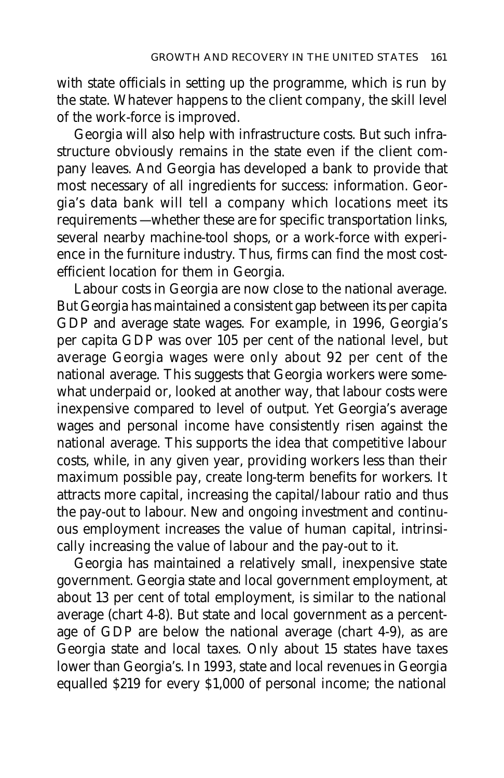with state officials in setting up the programme, which is run by the state. Whatever happens to the client company, the skill level of the work-force is improved.

Georgia will also help with infrastructure costs. But such infrastructure obviously remains in the state even if the client company leaves. And Georgia has developed a bank to provide that most necessary of all ingredients for success: information. Georgia's data bank will tell a company which locations meet its requirements — whether these are for specific transportation links, several nearby machine-tool shops, or a work-force with experience in the furniture industry. Thus, firms can find the most costefficient location for them in Georgia.

Labour costs in Georgia are now close to the national average. But Georgia has maintained a consistent gap between its per capita GDP and average state wages. For example, in 1996, Georgia's per capita GDP was over 105 per cent of the national level, but average Georgia wages were only about 92 per cent of the national average. This suggests that Georgia workers were somewhat underpaid or, looked at another way, that labour costs were inexpensive compared to level of output. Yet Georgia's average wages and personal income have consistently risen against the national average. This supports the idea that competitive labour costs, while, in any given year, providing workers less than their maximum possible pay, create long-term benefits for workers. It attracts more capital, increasing the capital/labour ratio and thus the pay-out to labour. New and ongoing investment and continuous employment increases the value of human capital, intrinsically increasing the value of labour and the pay-out to it.

Georgia has maintained a relatively small, inexpensive state government. Georgia state and local government employment, at about 13 per cent of total employment, is similar to the national average (chart 4-8). But state and local government as a percentage of GDP are below the national average (chart 4-9), as are Georgia state and local taxes. Only about 15 states have taxes lower than Georgia's. In 1993, state and local revenues in Georgia equalled \$219 for every \$1,000 of personal income; the national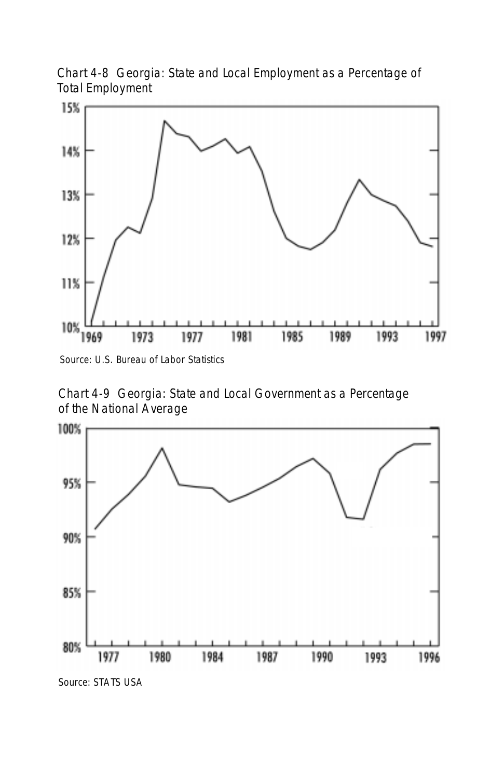Chart 4-8 Georgia: State and Local Employment as a Percentage of Total Employment



Source: U.S. Bureau of Labor Statistics

Chart 4-9 Georgia: State and Local Government as a Percentage of the National Average

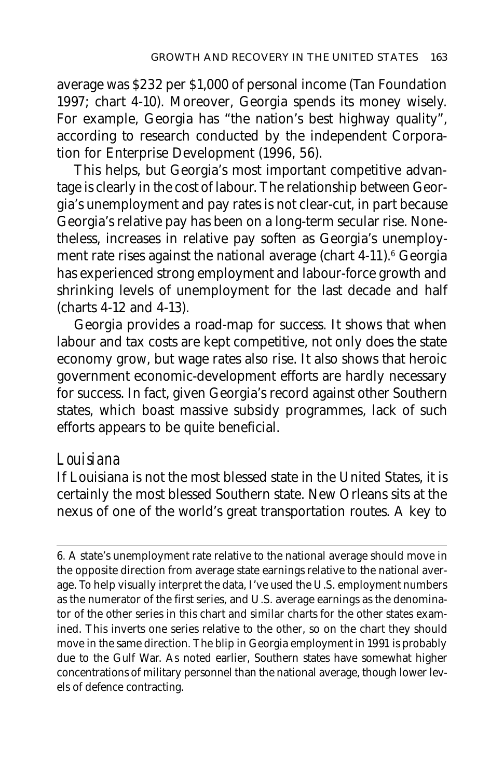average was \$232 per \$1,000 of personal income (Tan Foundation 1997; chart 4-10). Moreover, Georgia spends its money wisely. For example, Georgia has "the nation's best highway quality", according to research conducted by the independent Corporation for Enterprise Development (1996, 56).

This helps, but Georgia's most important competitive advantage is clearly in the cost of labour. The relationship between Georgia's unemployment and pay rates is not clear-cut, in part because Georgia's relative pay has been on a long-term secular rise. Nonetheless, increases in relative pay soften as Georgia's unemployment rate rises against the national average (chart 4-11).<sup>6</sup> Georgia has experienced strong employment and labour-force growth and shrinking levels of unemployment for the last decade and half (charts 4-12 and 4-13).

Georgia provides a road-map for success. It shows that when labour and tax costs are kept competitive, not only does the state economy grow, but wage rates also rise. It also shows that heroic government economic-development efforts are hardly necessary for success. In fact, given Georgia's record against other Southern states, which boast massive subsidy programmes, lack of such efforts appears to be quite beneficial.

#### *Louisiana*

If Louisiana is not the most blessed state in the United States, it is certainly the most blessed Southern state. New Orleans sits at the nexus of one of the world's great transportation routes. A key to

6*.* A state's unemployment rate relative to the national average should move in the opposite direction from average state earnings relative to the national average. To help visually interpret the data, I've used the U.S. employment numbers as the numerator of the first series, and U.S. average earnings as the denominator of the other series in this chart and similar charts for the other states examined. This inverts one series relative to the other, so on the chart they should move in the same direction. The blip in Georgia employment in 1991 is probably due to the Gulf War. As noted earlier, Southern states have somewhat higher concentrations of military personnel than the national average, though lower levels of defence contracting.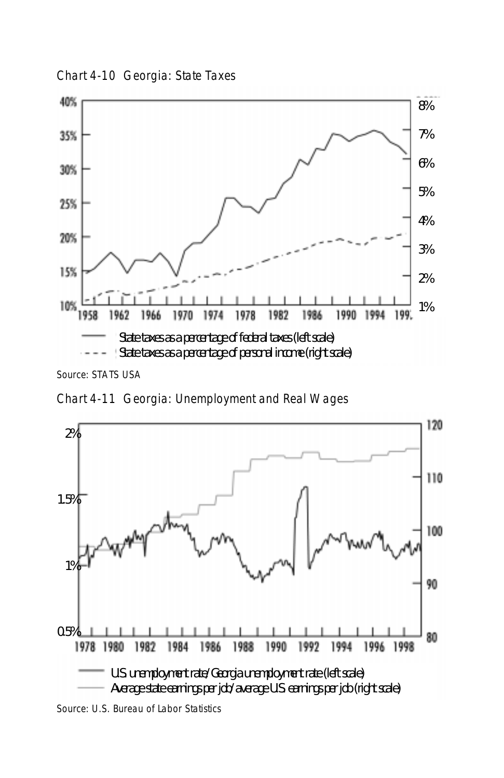Chart 4-10 Georgia: State Taxes



Source: STATS USA

Chart 4-11 Georgia: Unemployment and Real Wages

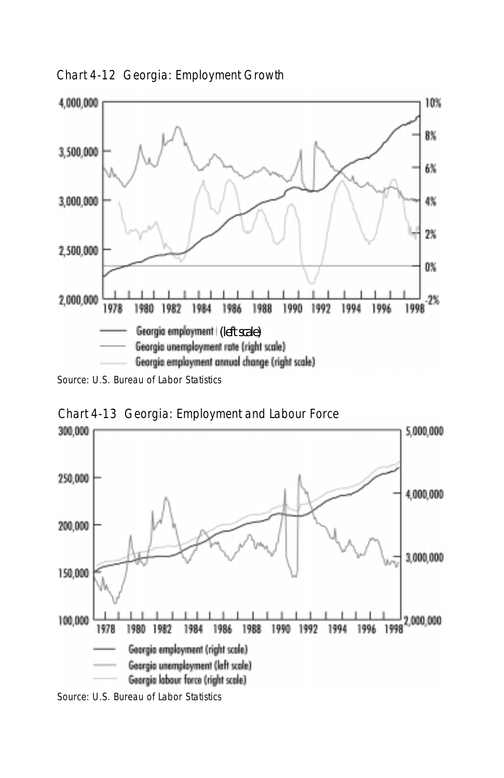Chart 4-12 Georgia: Employment Growth



Source: U.S. Bureau of Labor Statistics



Chart 4-13 Georgia: Employment and Labour Force

Source: U.S. Bureau of Labor Statistics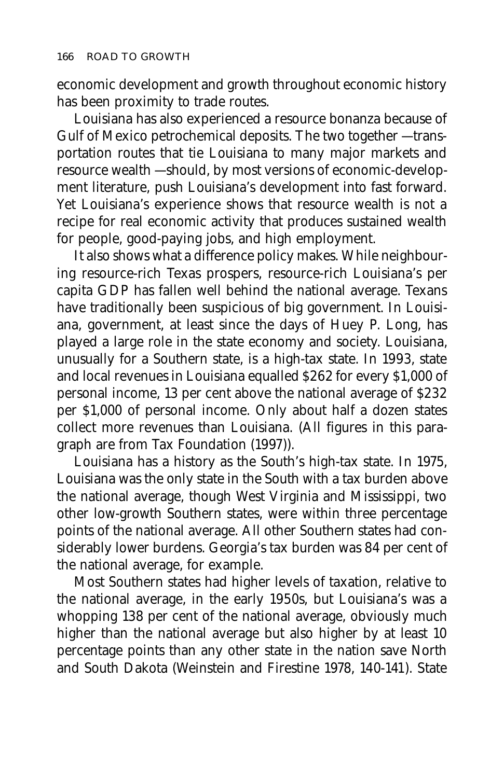economic development and growth throughout economic history has been proximity to trade routes.

Louisiana has also experienced a resource bonanza because of Gulf of Mexico petrochemical deposits. The two together — transportation routes that tie Louisiana to many major markets and resource wealth — should, by most versions of economic-development literature, push Louisiana's development into fast forward. Yet Louisiana's experience shows that resource wealth is not a recipe for real economic activity that produces sustained wealth for people, good-paying jobs, and high employment.

It also shows what a difference policy makes. While neighbouring resource-rich Texas prospers, resource-rich Louisiana's per capita GDP has fallen well behind the national average. Texans have traditionally been suspicious of big government. In Louisiana, government, at least since the days of Huey P. Long, has played a large role in the state economy and society. Louisiana, unusually for a Southern state, is a high-tax state. In 1993, state and local revenues in Louisiana equalled \$262 for every \$1,000 of personal income, 13 per cent above the national average of \$232 per \$1,000 of personal income. Only about half a dozen states collect more revenues than Louisiana. (All figures in this paragraph are from Tax Foundation (1997)).

Louisiana has a history as the South's high-tax state. In 1975, Louisiana was the only state in the South with a tax burden above the national average, though West Virginia and Mississippi, two other low-growth Southern states, were within three percentage points of the national average. All other Southern states had considerably lower burdens. Georgia's tax burden was 84 per cent of the national average, for example.

Most Southern states had higher levels of taxation, relative to the national average, in the early 1950s, but Louisiana's was a whopping 138 per cent of the national average, obviously much higher than the national average but also higher by at least 10 percentage points than any other state in the nation save North and South Dakota (Weinstein and Firestine 1978, 140-141). State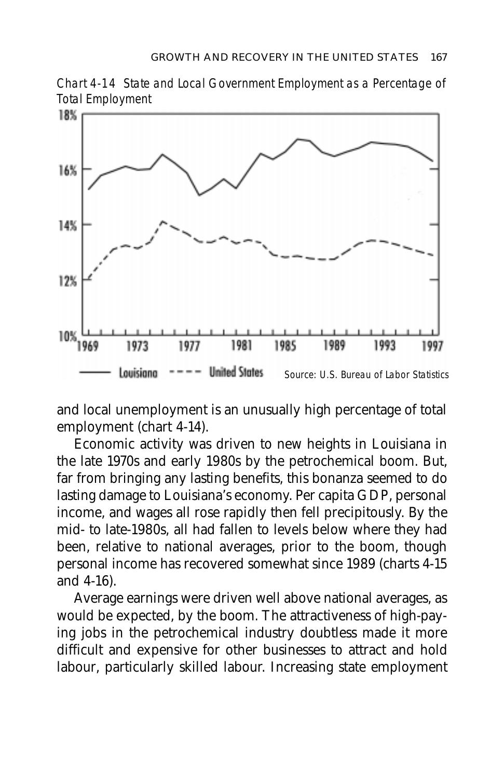



and local unemployment is an unusually high percentage of total employment (chart 4-14).

Economic activity was driven to new heights in Louisiana in the late 1970s and early 1980s by the petrochemical boom. But, far from bringing any lasting benefits, this bonanza seemed to do lasting damage to Louisiana's economy. Per capita GDP, personal income, and wages all rose rapidly then fell precipitously. By the mid- to late-1980s, all had fallen to levels below where they had been, relative to national averages, prior to the boom, though personal income has recovered somewhat since 1989 (charts 4-15 and 4-16).

Average earnings were driven well above national averages, as would be expected, by the boom. The attractiveness of high-paying jobs in the petrochemical industry doubtless made it more difficult and expensive for other businesses to attract and hold labour, particularly skilled labour. Increasing state employment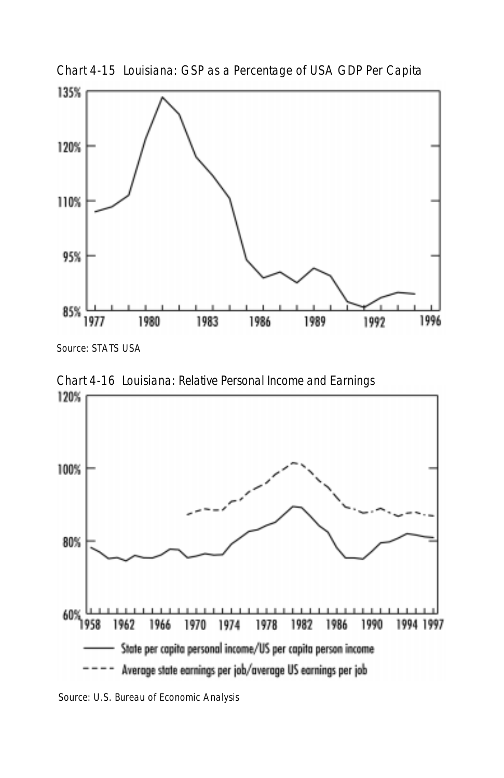

Chart 4-15 Louisiana: GSP as a Percentage of USA GDP Per Capita

Source: STATS USA



Chart 4-16 Louisiana: Relative Personal Income and Earnings

Source: U.S. Bureau of Economic Analysis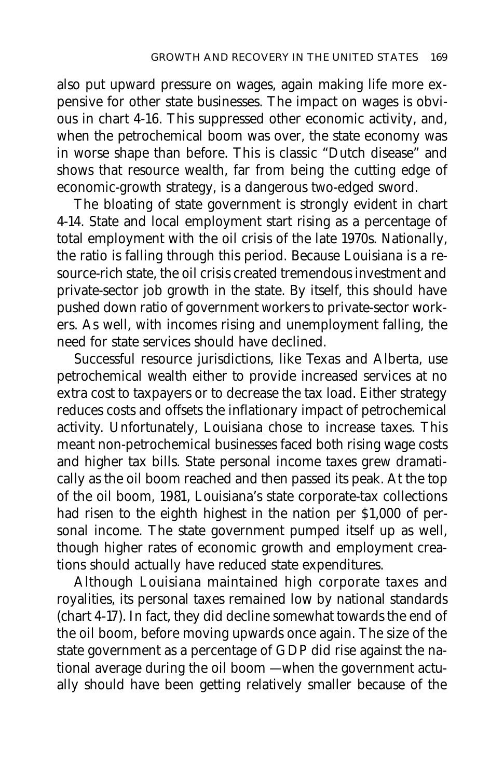also put upward pressure on wages, again making life more expensive for other state businesses. The impact on wages is obvious in chart 4-16. This suppressed other economic activity, and, when the petrochemical boom was over, the state economy was in worse shape than before. This is classic "Dutch disease" and shows that resource wealth, far from being the cutting edge of economic-growth strategy, is a dangerous two-edged sword.

The bloating of state government is strongly evident in chart 4-14. State and local employment start rising as a percentage of total employment with the oil crisis of the late 1970s. Nationally, the ratio is falling through this period. Because Louisiana is a resource-rich state, the oil crisis created tremendous investment and private-sector job growth in the state. By itself, this should have pushed down ratio of government workers to private-sector workers. As well, with incomes rising and unemployment falling, the need for state services should have declined.

Successful resource jurisdictions, like Texas and Alberta, use petrochemical wealth either to provide increased services at no extra cost to taxpayers or to decrease the tax load. Either strategy reduces costs and offsets the inflationary impact of petrochemical activity. Unfortunately, Louisiana chose to increase taxes. This meant non-petrochemical businesses faced both rising wage costs and higher tax bills. State personal income taxes grew dramatically as the oil boom reached and then passed its peak. At the top of the oil boom, 1981, Louisiana's state corporate-tax collections had risen to the eighth highest in the nation per \$1,000 of personal income. The state government pumped itself up as well, though higher rates of economic growth and employment creations should actually have reduced state expenditures.

Although Louisiana maintained high corporate taxes and royalities, its personal taxes remained low by national standards (chart 4-17). In fact, they did decline somewhat towards the end of the oil boom, before moving upwards once again. The size of the state government as a percentage of GDP did rise against the national average during the oil boom — when the government actually should have been getting relatively smaller because of the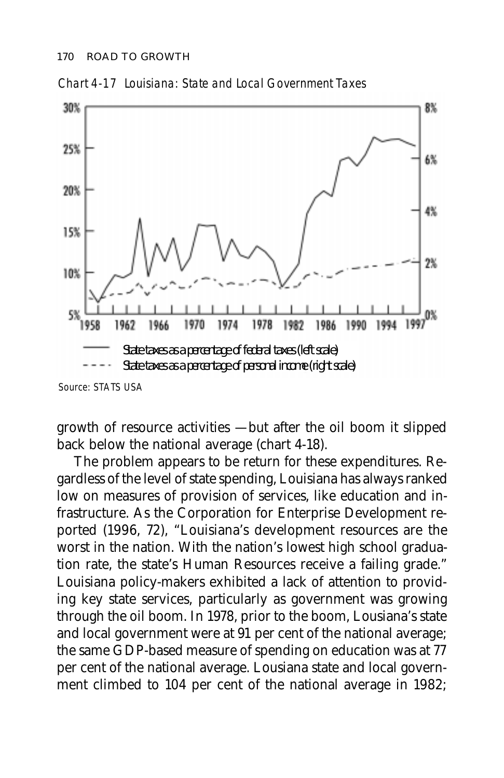

Chart 4-17 Louisiana: State and Local Government Taxes

growth of resource activities — but after the oil boom it slipped back below the national average (chart 4-18).

The problem appears to be return for these expenditures. Regardless of the level of state spending, Louisiana has always ranked low on measures of provision of services, like education and infrastructure. As the Corporation for Enterprise Development reported (1996, 72), "Louisiana's development resources are the worst in the nation. With the nation's lowest high school graduation rate, the state's Human Resources receive a failing grade." Louisiana policy-makers exhibited a lack of attention to providing key state services, particularly as government was growing through the oil boom. In 1978, prior to the boom, Lousiana's state and local government were at 91 per cent of the national average; the same GDP-based measure of spending on education was at 77 per cent of the national average. Lousiana state and local government climbed to 104 per cent of the national average in 1982;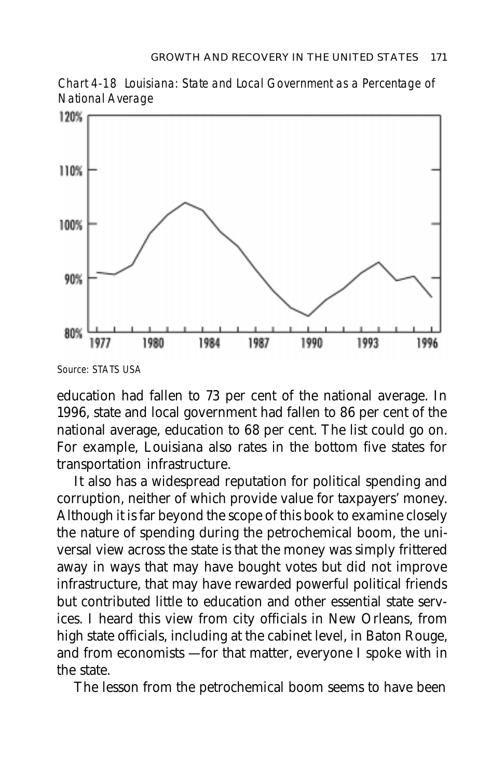Chart 4-18 Louisiana: State and Local Government as a Percentage of National Average



Source: STATS USA

education had fallen to 73 per cent of the national average. In 1996, state and local government had fallen to 86 per cent of the national average, education to 68 per cent. The list could go on. For example, Louisiana also rates in the bottom five states for transportation infrastructure.

It also has a widespread reputation for political spending and corruption, neither of which provide value for taxpayers' money. Although it is far beyond the scope of this book to examine closely the nature of spending during the petrochemical boom, the universal view across the state is that the money was simply frittered away in ways that may have bought votes but did not improve infrastructure, that may have rewarded powerful political friends but contributed little to education and other essential state services. I heard this view from city officials in New Orleans, from high state officials, including at the cabinet level, in Baton Rouge, and from economists — for that matter, everyone I spoke with in the state.

The lesson from the petrochemical boom seems to have been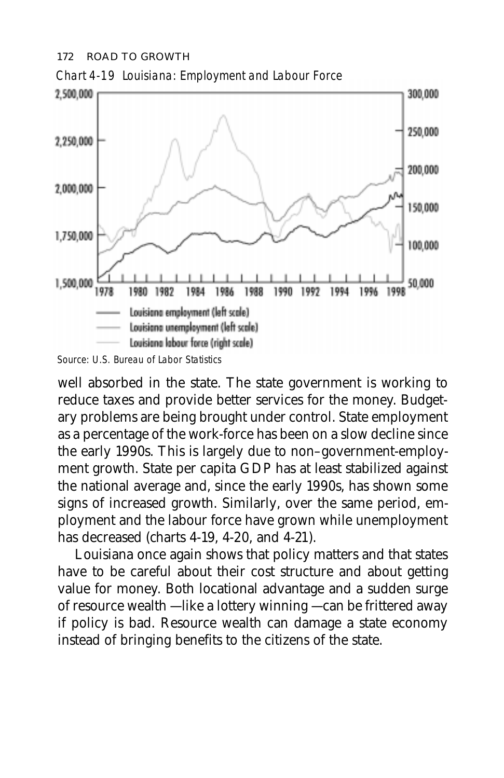#### 172 ROAD TO GROWTH



Chart 4-19 Louisiana: Employment and Labour Force

Source: U.S. Bureau of Labor Statistics

well absorbed in the state. The state government is working to reduce taxes and provide better services for the money. Budgetary problems are being brought under control. State employment as a percentage of the work-force has been on a slow decline since the early 1990s. This is largely due to non–government-employment growth. State per capita GDP has at least stabilized against the national average and, since the early 1990s, has shown some signs of increased growth. Similarly, over the same period, employment and the labour force have grown while unemployment has decreased (charts 4-19, 4-20, and 4-21).

Louisiana once again shows that policy matters and that states have to be careful about their cost structure and about getting value for money. Both locational advantage and a sudden surge of resource wealth — like a lottery winning — can be frittered away if policy is bad. Resource wealth can damage a state economy instead of bringing benefits to the citizens of the state.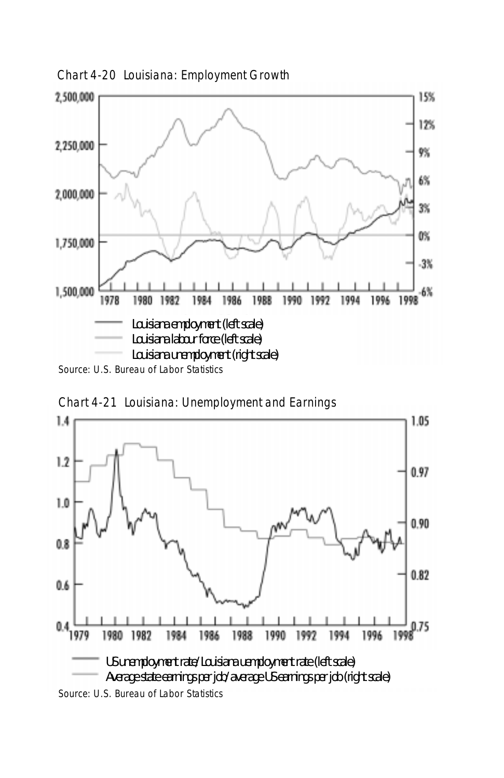

Chart 4-21 Louisiana: Unemployment and Earnings



Source: U.S. Bureau of Labor Statistics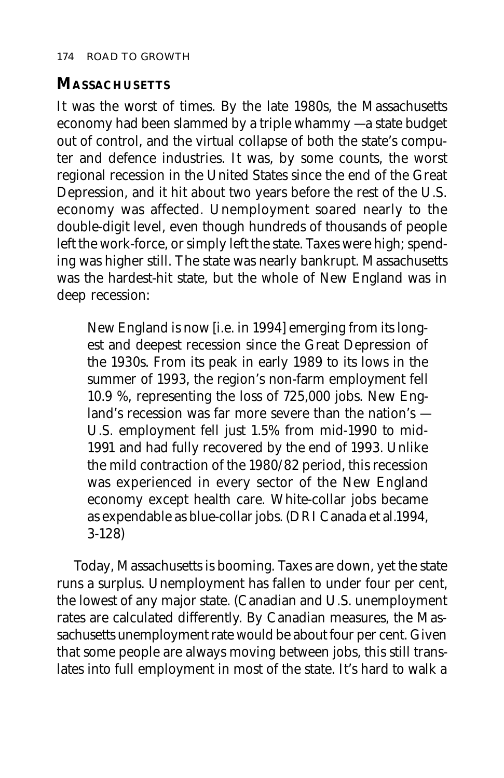# **MASSACHUSETTS**

It was the worst of times. By the late 1980s, the Massachusetts economy had been slammed by a triple whammy — a state budget out of control, and the virtual collapse of both the state's computer and defence industries. It was, by some counts, the worst regional recession in the United States since the end of the Great Depression, and it hit about two years before the rest of the U.S. economy was affected. Unemployment soared nearly to the double-digit level, even though hundreds of thousands of people left the work-force, or simply left the state. Taxes were high; spending was higher still. The state was nearly bankrupt. Massachusetts was the hardest-hit state, but the whole of New England was in deep recession:

New England is now [i.e. in 1994] emerging from its longest and deepest recession since the Great Depression of the 1930s. From its peak in early 1989 to its lows in the summer of 1993, the region's non-farm employment fell 10.9 %, representing the loss of 725,000 jobs. New England's recession was far more severe than the nation's — U.S. employment fell just 1.5% from mid-1990 to mid-1991 and had fully recovered by the end of 1993. Unlike the mild contraction of the 1980/82 period, this recession was experienced in every sector of the New England economy except health care. White-collar jobs became as expendable as blue-collar jobs. (DRI Canada et al.1994, 3-128)

Today, Massachusetts is booming. Taxes are down, yet the state runs a surplus. Unemployment has fallen to under four per cent, the lowest of any major state. (Canadian and U.S. unemployment rates are calculated differently. By Canadian measures, the Massachusetts unemployment rate would be about four per cent. Given that some people are always moving between jobs, this still translates into full employment in most of the state. It's hard to walk a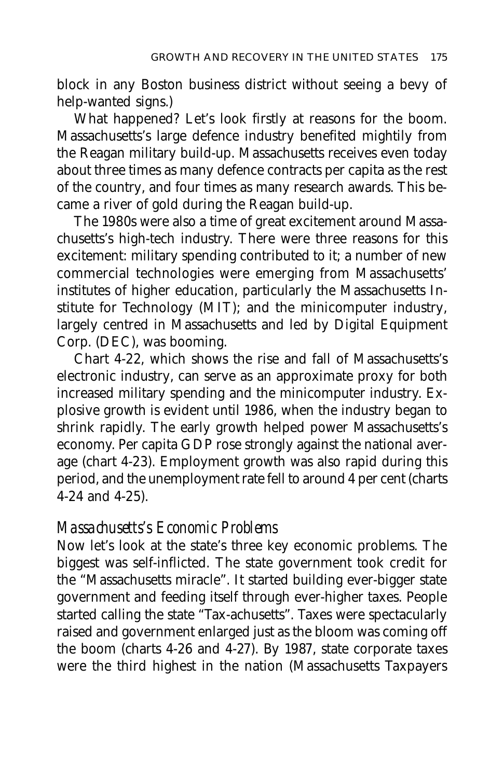block in any Boston business district without seeing a bevy of help-wanted signs.)

What happened? Let's look firstly at reasons for the boom. Massachusetts's large defence industry benefited mightily from the Reagan military build-up. Massachusetts receives even today about three times as many defence contracts per capita as the rest of the country, and four times as many research awards. This became a river of gold during the Reagan build-up.

The 1980s were also a time of great excitement around Massachusetts's high-tech industry. There were three reasons for this excitement: military spending contributed to it; a number of new commercial technologies were emerging from Massachusetts' institutes of higher education, particularly the Massachusetts Institute for Technology (MIT); and the minicomputer industry, largely centred in Massachusetts and led by Digital Equipment Corp. (DEC), was booming.

Chart 4-22, which shows the rise and fall of Massachusetts's electronic industry, can serve as an approximate proxy for both increased military spending and the minicomputer industry. Explosive growth is evident until 1986, when the industry began to shrink rapidly. The early growth helped power Massachusetts's economy. Per capita GDP rose strongly against the national average (chart 4-23). Employment growth was also rapid during this period, and the unemployment rate fell to around 4 per cent (charts 4-24 and 4-25).

#### *Massachusetts's Economic Problems*

Now let's look at the state's three key economic problems. The biggest was self-inflicted. The state government took credit for the "Massachusetts miracle". It started building ever-bigger state government and feeding itself through ever-higher taxes. People started calling the state "Tax-achusetts". Taxes were spectacularly raised and government enlarged just as the bloom was coming off the boom (charts 4-26 and 4-27). By 1987, state corporate taxes were the third highest in the nation (Massachusetts Taxpayers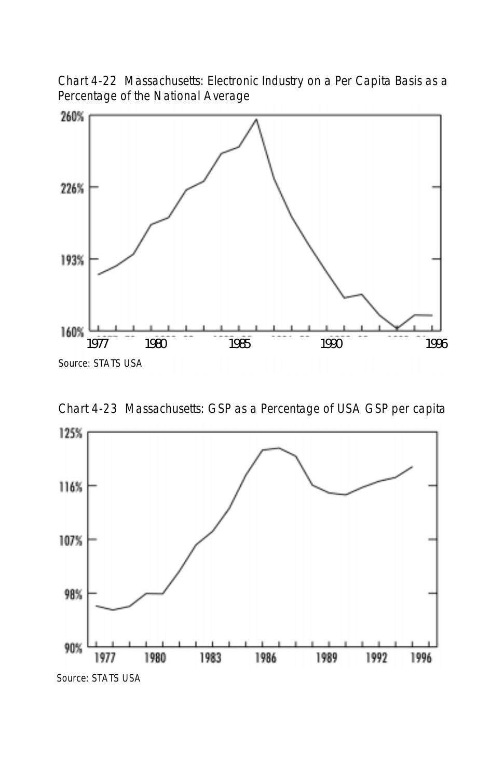Chart 4-22 Massachusetts: Electronic Industry on a Per Capita Basis as a Percentage of the National Average



Chart 4-23 Massachusetts: GSP as a Percentage of USA GSP per capita

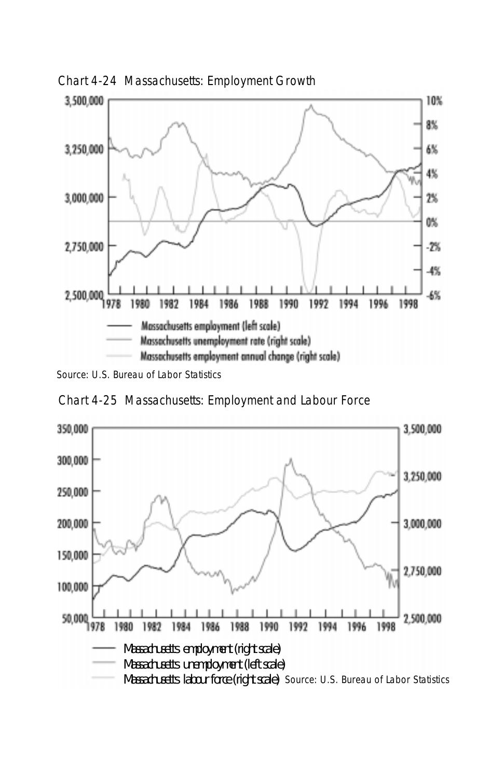

Chart 4-24 Massachusetts: Employment Growth

Source: U.S. Bureau of Labor Statistics



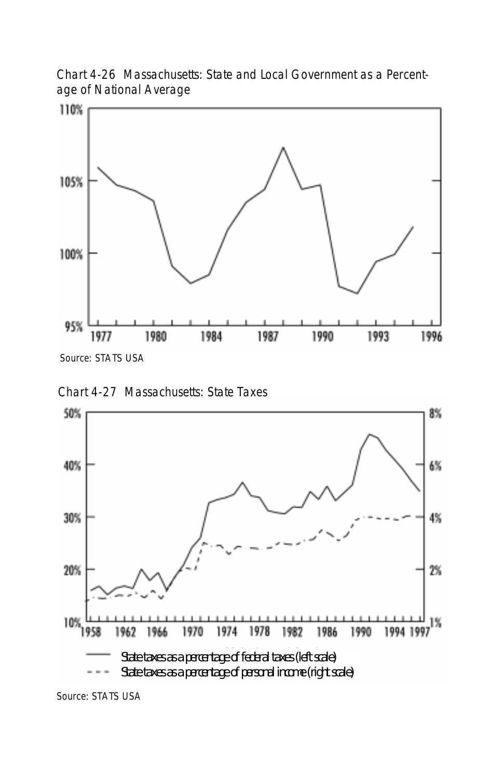Chart 4-26 Massachusetts: State and Local Government as a Percentage of National Average







Source: STATS USA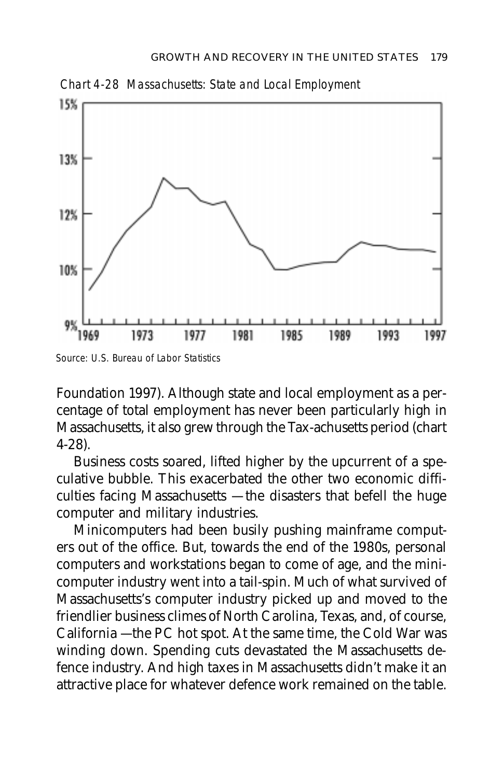

Source: U.S. Bureau of Labor Statistics

Foundation 1997). Although state and local employment as a percentage of total employment has never been particularly high in Massachusetts, it also grew through the Tax-achusetts period (chart 4-28).

Business costs soared, lifted higher by the upcurrent of a speculative bubble. This exacerbated the other two economic difficulties facing Massachusetts — the disasters that befell the huge computer and military industries.

Minicomputers had been busily pushing mainframe computers out of the office. But, towards the end of the 1980s, personal computers and workstations began to come of age, and the minicomputer industry went into a tail-spin. Much of what survived of Massachusetts's computer industry picked up and moved to the friendlier business climes of North Carolina, Texas, and, of course, California — the PC hot spot. At the same time, the Cold War was winding down. Spending cuts devastated the Massachusetts defence industry. And high taxes in Massachusetts didn't make it an attractive place for whatever defence work remained on the table.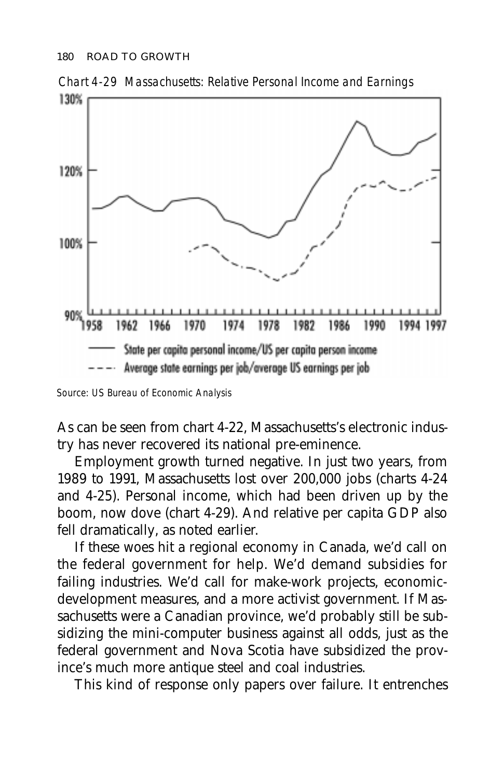

Chart 4-29 Massachusetts: Relative Personal Income and Earnings

As can be seen from chart 4-22, Massachusetts's electronic industry has never recovered its national pre-eminence.

Employment growth turned negative. In just two years, from 1989 to 1991, Massachusetts lost over 200,000 jobs (charts 4-24 and 4-25). Personal income, which had been driven up by the boom, now dove (chart 4-29). And relative per capita GDP also fell dramatically, as noted earlier.

If these woes hit a regional economy in Canada, we'd call on the federal government for help. We'd demand subsidies for failing industries. We'd call for make-work projects, economicdevelopment measures, and a more activist government. If Massachusetts were a Canadian province, we'd probably still be subsidizing the mini-computer business against all odds, just as the federal government and Nova Scotia have subsidized the province's much more antique steel and coal industries.

This kind of response only papers over failure. It entrenches

Source: US Bureau of Economic Analysis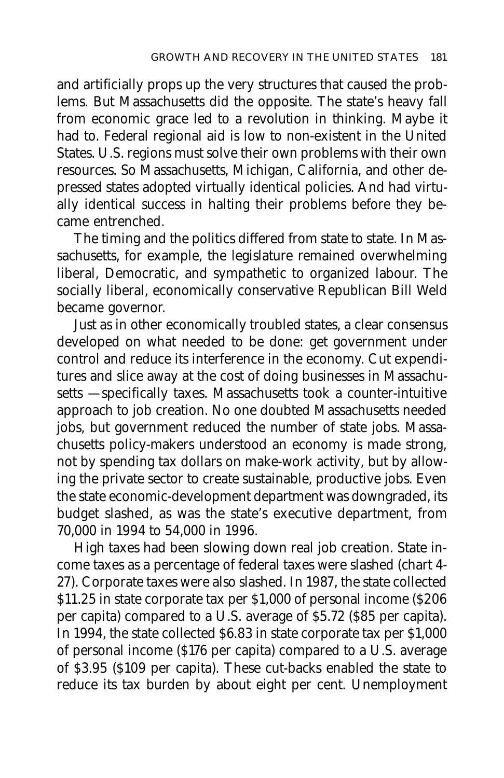and artificially props up the very structures that caused the problems. But Massachusetts did the opposite. The state's heavy fall from economic grace led to a revolution in thinking. Maybe it had to. Federal regional aid is low to non-existent in the United States. U.S. regions must solve their own problems with their own resources. So Massachusetts, Michigan, California, and other depressed states adopted virtually identical policies. And had virtually identical success in halting their problems before they became entrenched.

The timing and the politics differed from state to state. In Massachusetts, for example, the legislature remained overwhelming liberal, Democratic, and sympathetic to organized labour. The socially liberal, economically conservative Republican Bill Weld became governor.

Just as in other economically troubled states, a clear consensus developed on what needed to be done: get government under control and reduce its interference in the economy. Cut expenditures and slice away at the cost of doing businesses in Massachusetts — specifically taxes. Massachusetts took a counter-intuitive approach to job creation. No one doubted Massachusetts needed jobs, but government reduced the number of state jobs. Massachusetts policy-makers understood an economy is made strong, not by spending tax dollars on make-work activity, but by allowing the private sector to create sustainable, productive jobs. Even the state economic-development department was downgraded, its budget slashed, as was the state's executive department, from 70,000 in 1994 to 54,000 in 1996.

High taxes had been slowing down real job creation. State income taxes as a percentage of federal taxes were slashed (chart 4- 27). Corporate taxes were also slashed. In 1987, the state collected \$11.25 in state corporate tax per \$1,000 of personal income (\$206 per capita) compared to a U.S. average of \$5.72 (\$85 per capita). In 1994, the state collected \$6.83 in state corporate tax per \$1,000 of personal income (\$176 per capita) compared to a U.S. average of \$3.95 (\$109 per capita). These cut-backs enabled the state to reduce its tax burden by about eight per cent. Unemployment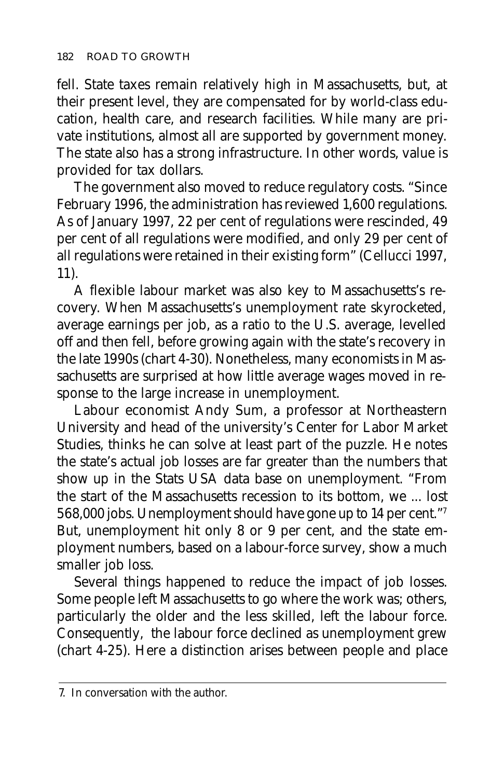fell. State taxes remain relatively high in Massachusetts, but, at their present level, they are compensated for by world-class education, health care, and research facilities. While many are private institutions, almost all are supported by government money. The state also has a strong infrastructure. In other words, value is provided for tax dollars.

The government also moved to reduce regulatory costs. "Since February 1996, the administration has reviewed 1,600 regulations. As of January 1997, 22 per cent of regulations were rescinded, 49 per cent of all regulations were modified, and only 29 per cent of all regulations were retained in their existing form" (Cellucci 1997, 11).

A flexible labour market was also key to Massachusetts's recovery. When Massachusetts's unemployment rate skyrocketed, average earnings per job, as a ratio to the U.S. average, levelled off and then fell, before growing again with the state's recovery in the late 1990s (chart 4-30). Nonetheless, many economists in Massachusetts are surprised at how little average wages moved in response to the large increase in unemployment.

Labour economist Andy Sum, a professor at Northeastern University and head of the university's Center for Labor Market Studies, thinks he can solve at least part of the puzzle. He notes the state's actual job losses are far greater than the numbers that show up in the Stats USA data base on unemployment. "From the start of the Massachusetts recession to its bottom, we ... lost 568,000 jobs. Unemployment should have gone up to 14 per cent."7 But, unemployment hit only 8 or 9 per cent, and the state employment numbers, based on a labour-force survey, show a much smaller job loss.

Several things happened to reduce the impact of job losses. Some people left Massachusetts to go where the work was; others, particularly the older and the less skilled, left the labour force. Consequently, the labour force declined as unemployment grew (chart 4-25). Here a distinction arises between people and place

<sup>7.</sup> In conversation with the author.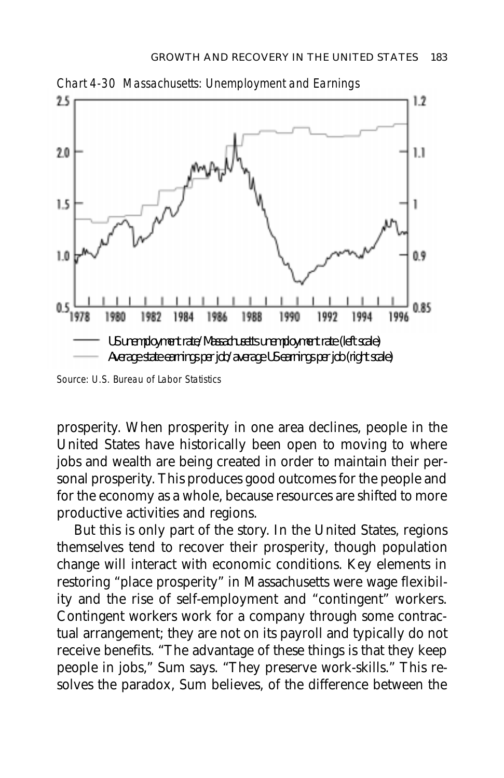

Source: U.S. Bureau of Labor Statistics

prosperity. When prosperity in one area declines, people in the United States have historically been open to moving to where jobs and wealth are being created in order to maintain their personal prosperity. This produces good outcomes for the people and for the economy as a whole, because resources are shifted to more productive activities and regions.

But this is only part of the story. In the United States, regions themselves tend to recover their prosperity, though population change will interact with economic conditions. Key elements in restoring "place prosperity" in Massachusetts were wage flexibility and the rise of self-employment and "contingent" workers. Contingent workers work for a company through some contractual arrangement; they are not on its payroll and typically do not receive benefits. "The advantage of these things is that they keep people in jobs," Sum says. "They preserve work-skills." This resolves the paradox, Sum believes, of the difference between the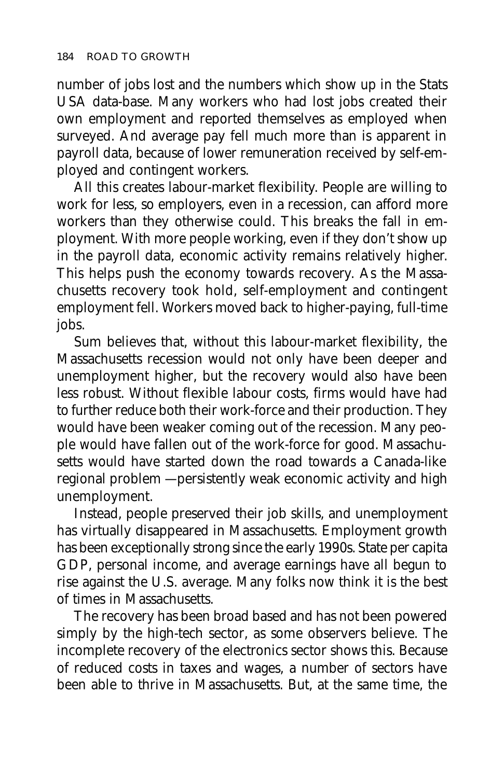number of jobs lost and the numbers which show up in the Stats USA data-base. Many workers who had lost jobs created their own employment and reported themselves as employed when surveyed. And average pay fell much more than is apparent in payroll data, because of lower remuneration received by self-employed and contingent workers.

All this creates labour-market flexibility. People are willing to work for less, so employers, even in a recession, can afford more workers than they otherwise could. This breaks the fall in employment. With more people working, even if they don't show up in the payroll data, economic activity remains relatively higher. This helps push the economy towards recovery. As the Massachusetts recovery took hold, self-employment and contingent employment fell. Workers moved back to higher-paying, full-time jobs.

Sum believes that, without this labour-market flexibility, the Massachusetts recession would not only have been deeper and unemployment higher, but the recovery would also have been less robust. Without flexible labour costs, firms would have had to further reduce both their work-force and their production. They would have been weaker coming out of the recession. Many people would have fallen out of the work-force for good. Massachusetts would have started down the road towards a Canada-like regional problem — persistently weak economic activity and high unemployment.

Instead, people preserved their job skills, and unemployment has virtually disappeared in Massachusetts. Employment growth has been exceptionally strong since the early 1990s. State per capita GDP, personal income, and average earnings have all begun to rise against the U.S. average. Many folks now think it is the best of times in Massachusetts.

The recovery has been broad based and has not been powered simply by the high-tech sector, as some observers believe. The incomplete recovery of the electronics sector shows this. Because of reduced costs in taxes and wages, a number of sectors have been able to thrive in Massachusetts. But, at the same time, the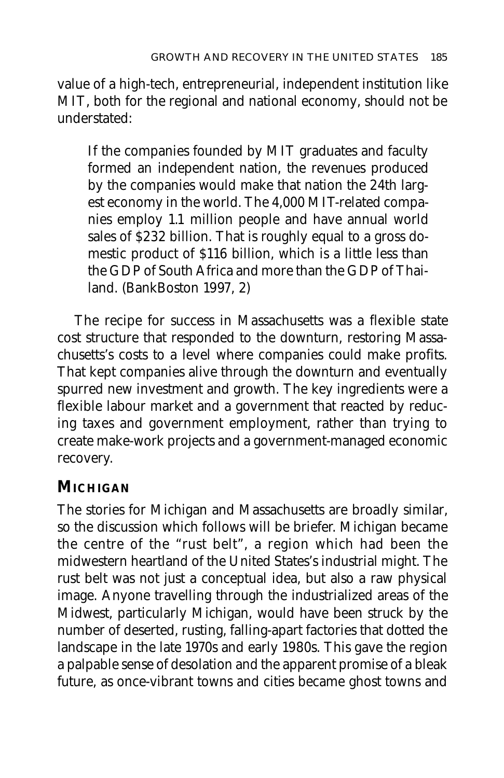value of a high-tech, entrepreneurial, independent institution like MIT, both for the regional and national economy, should not be understated:

If the companies founded by MIT graduates and faculty formed an independent nation, the revenues produced by the companies would make that nation the 24th largest economy in the world. The 4,000 MIT-related companies employ 1.1 million people and have annual world sales of \$232 billion. That is roughly equal to a gross domestic product of \$116 billion, which is a little less than the GDP of South Africa and more than the GDP of Thailand. (BankBoston 1997, 2)

The recipe for success in Massachusetts was a flexible state cost structure that responded to the downturn, restoring Massachusetts's costs to a level where companies could make profits. That kept companies alive through the downturn and eventually spurred new investment and growth. The key ingredients were a flexible labour market and a government that reacted by reducing taxes and government employment, rather than trying to create make-work projects and a government-managed economic recovery.

# **MICHIGAN**

The stories for Michigan and Massachusetts are broadly similar, so the discussion which follows will be briefer. Michigan became the centre of the "rust belt", a region which had been the midwestern heartland of the United States's industrial might. The rust belt was not just a conceptual idea, but also a raw physical image. Anyone travelling through the industrialized areas of the Midwest, particularly Michigan, would have been struck by the number of deserted, rusting, falling-apart factories that dotted the landscape in the late 1970s and early 1980s. This gave the region a palpable sense of desolation and the apparent promise of a bleak future, as once-vibrant towns and cities became ghost towns and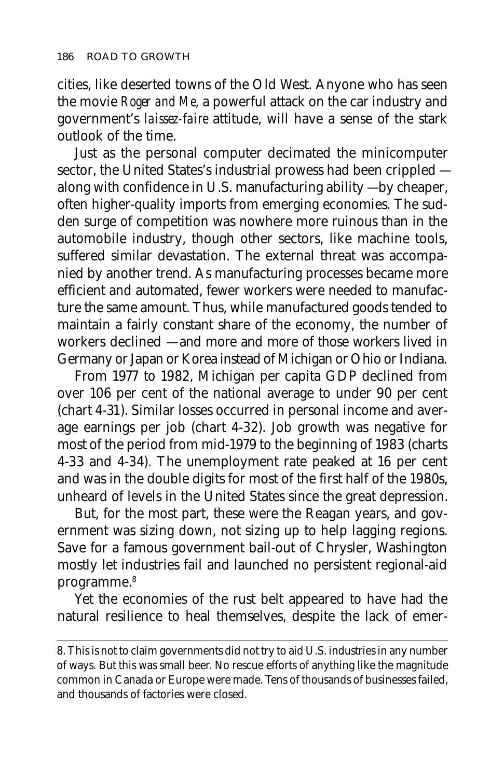cities, like deserted towns of the Old West. Anyone who has seen the movie *Roger and Me,* a powerful attack on the car industry and government's *laissez-faire* attitude, will have a sense of the stark outlook of the time.

Just as the personal computer decimated the minicomputer sector, the United States's industrial prowess had been crippled along with confidence in U.S. manufacturing ability — by cheaper, often higher-quality imports from emerging economies. The sudden surge of competition was nowhere more ruinous than in the automobile industry, though other sectors, like machine tools, suffered similar devastation. The external threat was accompanied by another trend. As manufacturing processes became more efficient and automated, fewer workers were needed to manufacture the same amount. Thus, while manufactured goods tended to maintain a fairly constant share of the economy, the number of workers declined — and more and more of those workers lived in Germany or Japan or Korea instead of Michigan or Ohio or Indiana.

From 1977 to 1982, Michigan per capita GDP declined from over 106 per cent of the national average to under 90 per cent (chart 4-31). Similar losses occurred in personal income and average earnings per job (chart 4-32). Job growth was negative for most of the period from mid-1979 to the beginning of 1983 (charts 4-33 and 4-34). The unemployment rate peaked at 16 per cent and was in the double digits for most of the first half of the 1980s, unheard of levels in the United States since the great depression.

But, for the most part, these were the Reagan years, and government was sizing down, not sizing up to help lagging regions. Save for a famous government bail-out of Chrysler, Washington mostly let industries fail and launched no persistent regional-aid programme.8

Yet the economies of the rust belt appeared to have had the natural resilience to heal themselves, despite the lack of emer-

<sup>8.</sup> This is not to claim governments did not try to aid U.S. industries in any number of ways. But this was small beer. No rescue efforts of anything like the magnitude common in Canada or Europe were made. Tens of thousands of businesses failed, and thousands of factories were closed.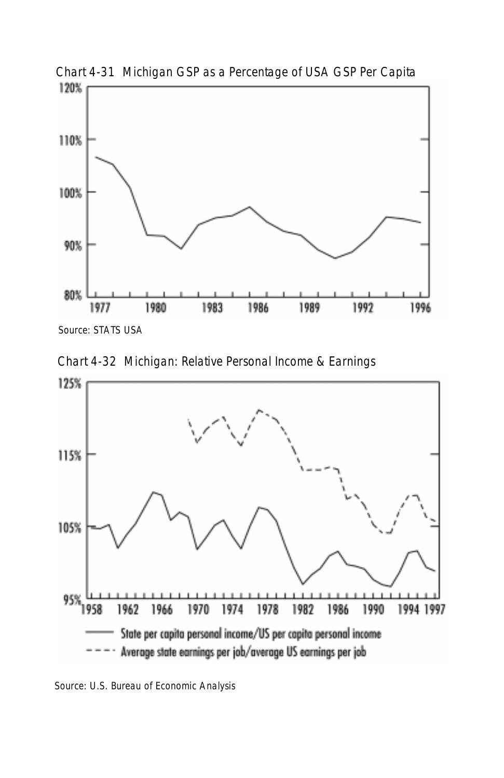

Chart 4-31 Michigan GSP as a Percentage of USA GSP Per Capita

Chart 4-32 Michigan: Relative Personal Income & Earnings



Source: U.S. Bureau of Economic Analysis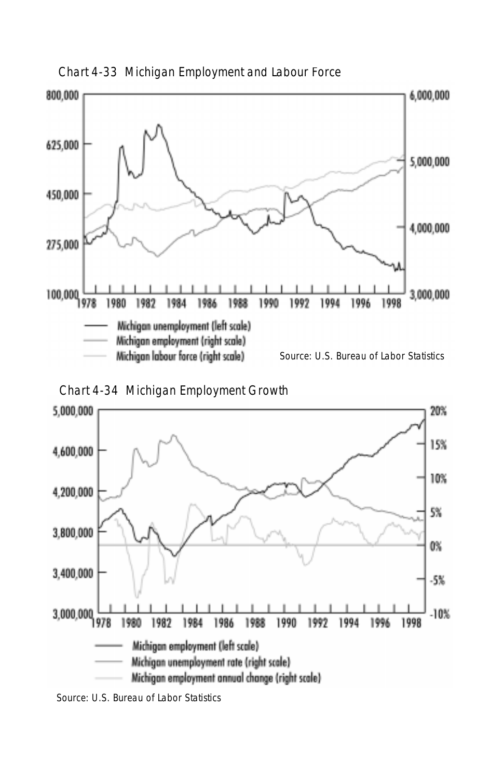

Chart 4-33 Michigan Employment and Labour Force





Source: U.S. Bureau of Labor Statistics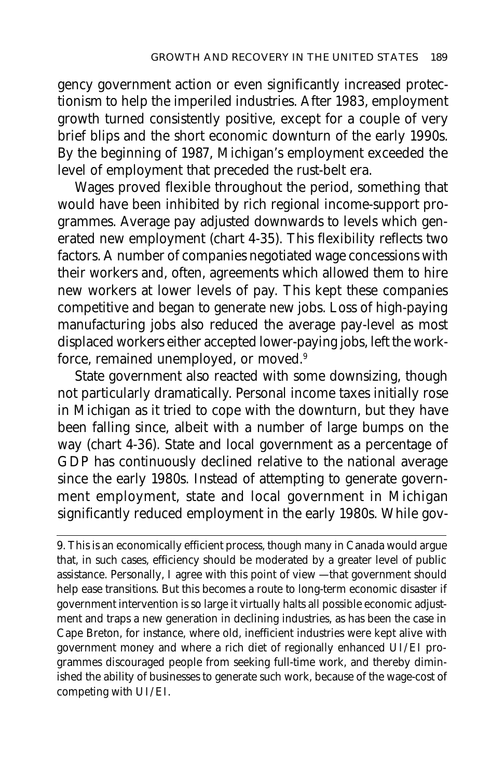gency government action or even significantly increased protectionism to help the imperiled industries. After 1983, employment growth turned consistently positive, except for a couple of very brief blips and the short economic downturn of the early 1990s. By the beginning of 1987, Michigan's employment exceeded the level of employment that preceded the rust-belt era.

Wages proved flexible throughout the period, something that would have been inhibited by rich regional income-support programmes. Average pay adjusted downwards to levels which generated new employment (chart 4-35). This flexibility reflects two factors. A number of companies negotiated wage concessions with their workers and, often, agreements which allowed them to hire new workers at lower levels of pay. This kept these companies competitive and began to generate new jobs. Loss of high-paying manufacturing jobs also reduced the average pay-level as most displaced workers either accepted lower-paying jobs, left the workforce, remained unemployed, or moved.<sup>9</sup>

State government also reacted with some downsizing, though not particularly dramatically. Personal income taxes initially rose in Michigan as it tried to cope with the downturn, but they have been falling since, albeit with a number of large bumps on the way (chart 4-36). State and local government as a percentage of GDP has continuously declined relative to the national average since the early 1980s. Instead of attempting to generate government employment, state and local government in Michigan significantly reduced employment in the early 1980s. While gov-

9. This is an economically efficient process, though many in Canada would argue that, in such cases, efficiency should be moderated by a greater level of public assistance. Personally, I agree with this point of view — that government should help ease transitions. But this becomes a route to long-term economic disaster if government intervention is so large it virtually halts all possible economic adjustment and traps a new generation in declining industries, as has been the case in Cape Breton, for instance, where old, inefficient industries were kept alive with government money and where a rich diet of regionally enhanced UI/EI programmes discouraged people from seeking full-time work, and thereby diminished the ability of businesses to generate such work, because of the wage-cost of competing with UI/EI.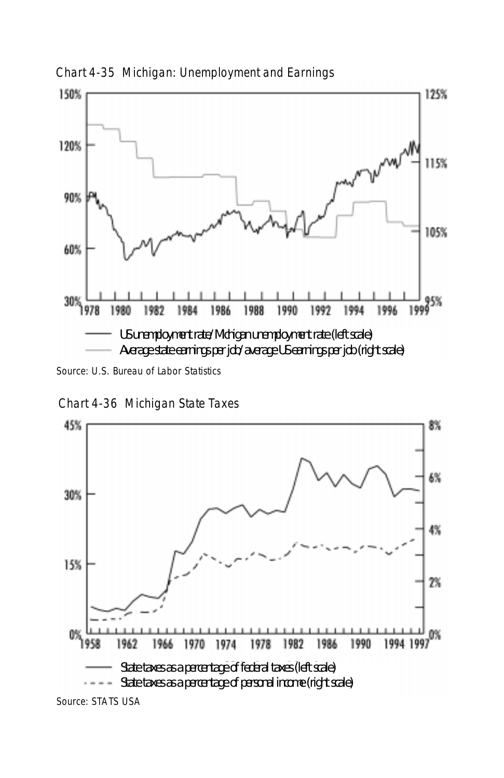

Chart 4-35 Michigan: Unemployment and Earnings

Chart 4-36 Michigan State Taxes



Source: STATS USA

Source: U.S. Bureau of Labor Statistics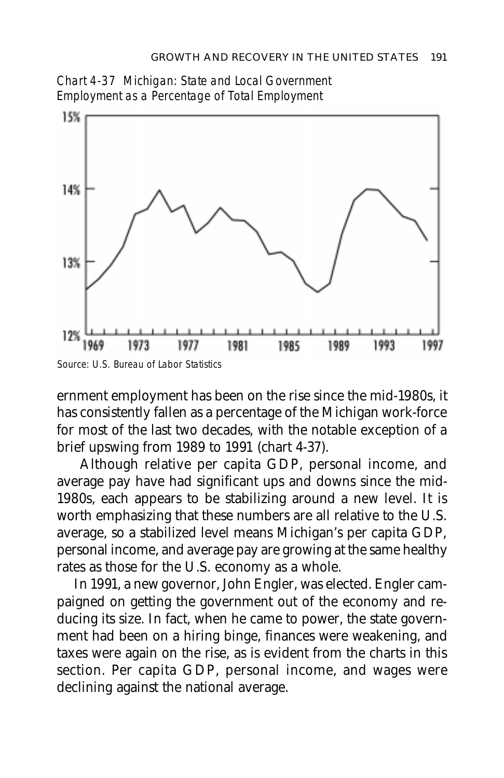



ernment employment has been on the rise since the mid-1980s, it has consistently fallen as a percentage of the Michigan work-force for most of the last two decades, with the notable exception of a brief upswing from 1989 to 1991 (chart 4-37).

 Although relative per capita GDP, personal income, and average pay have had significant ups and downs since the mid-1980s, each appears to be stabilizing around a new level. It is worth emphasizing that these numbers are all relative to the U.S. average, so a stabilized level means Michigan's per capita GDP, personal income, and average pay are growing at the same healthy rates as those for the U.S. economy as a whole.

In 1991, a new governor, John Engler, was elected. Engler campaigned on getting the government out of the economy and reducing its size. In fact, when he came to power, the state government had been on a hiring binge, finances were weakening, and taxes were again on the rise, as is evident from the charts in this section. Per capita GDP, personal income, and wages were declining against the national average.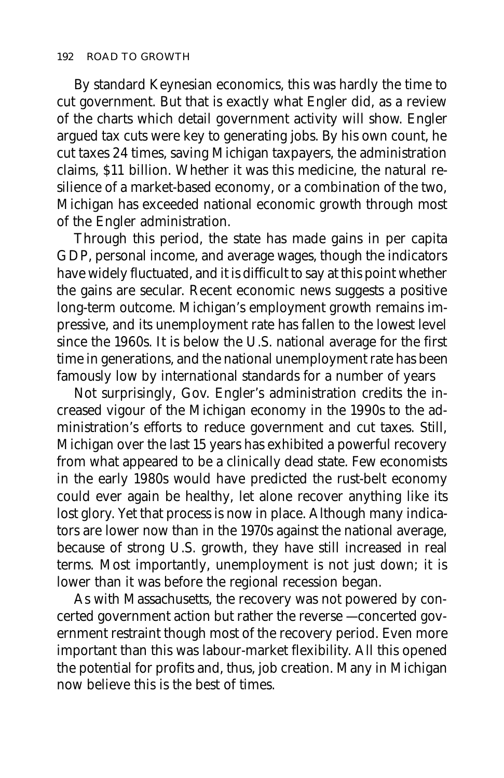By standard Keynesian economics, this was hardly the time to cut government. But that is exactly what Engler did, as a review of the charts which detail government activity will show. Engler argued tax cuts were key to generating jobs. By his own count, he cut taxes 24 times, saving Michigan taxpayers, the administration claims, \$11 billion. Whether it was this medicine, the natural resilience of a market-based economy, or a combination of the two, Michigan has exceeded national economic growth through most of the Engler administration.

Through this period, the state has made gains in per capita GDP, personal income, and average wages, though the indicators have widely fluctuated, and it is difficult to say at this point whether the gains are secular. Recent economic news suggests a positive long-term outcome. Michigan's employment growth remains impressive, and its unemployment rate has fallen to the lowest level since the 1960s. It is below the U.S. national average for the first time in generations, and the national unemployment rate has been famously low by international standards for a number of years

Not surprisingly, Gov. Engler's administration credits the increased vigour of the Michigan economy in the 1990s to the administration's efforts to reduce government and cut taxes. Still, Michigan over the last 15 years has exhibited a powerful recovery from what appeared to be a clinically dead state. Few economists in the early 1980s would have predicted the rust-belt economy could ever again be healthy, let alone recover anything like its lost glory. Yet that process is now in place. Although many indicators are lower now than in the 1970s against the national average, because of strong U.S. growth, they have still increased in real terms. Most importantly, unemployment is not just down; it is lower than it was before the regional recession began.

As with Massachusetts, the recovery was not powered by concerted government action but rather the reverse — concerted government restraint though most of the recovery period. Even more important than this was labour-market flexibility. All this opened the potential for profits and, thus, job creation. Many in Michigan now believe this is the best of times.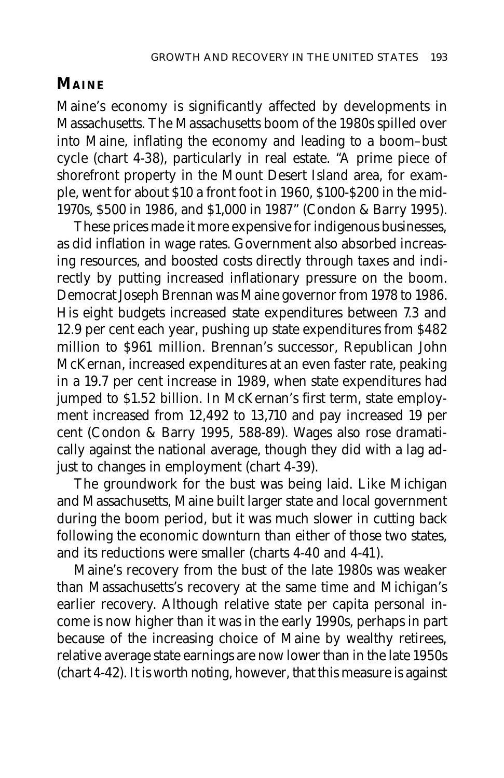# **MAINE**

Maine's economy is significantly affected by developments in Massachusetts. The Massachusetts boom of the 1980s spilled over into Maine, inflating the economy and leading to a boom–bust cycle (chart 4-38), particularly in real estate. "A prime piece of shorefront property in the Mount Desert Island area, for example, went for about \$10 a front foot in 1960, \$100-\$200 in the mid-1970s, \$500 in 1986, and \$1,000 in 1987" (Condon & Barry 1995).

These prices made it more expensive for indigenous businesses, as did inflation in wage rates. Government also absorbed increasing resources, and boosted costs directly through taxes and indirectly by putting increased inflationary pressure on the boom. Democrat Joseph Brennan was Maine governor from 1978 to 1986. His eight budgets increased state expenditures between 7.3 and 12.9 per cent each year, pushing up state expenditures from \$482 million to \$961 million. Brennan's successor, Republican John McKernan, increased expenditures at an even faster rate, peaking in a 19.7 per cent increase in 1989, when state expenditures had jumped to \$1.52 billion. In McKernan's first term, state employment increased from 12,492 to 13,710 and pay increased 19 per cent (Condon & Barry 1995, 588-89). Wages also rose dramatically against the national average, though they did with a lag adjust to changes in employment (chart 4-39).

The groundwork for the bust was being laid. Like Michigan and Massachusetts, Maine built larger state and local government during the boom period, but it was much slower in cutting back following the economic downturn than either of those two states, and its reductions were smaller (charts 4-40 and 4-41).

Maine's recovery from the bust of the late 1980s was weaker than Massachusetts's recovery at the same time and Michigan's earlier recovery. Although relative state per capita personal income is now higher than it was in the early 1990s, perhaps in part because of the increasing choice of Maine by wealthy retirees, relative average state earnings are now lower than in the late 1950s (chart 4-42). It is worth noting, however, that this measure is against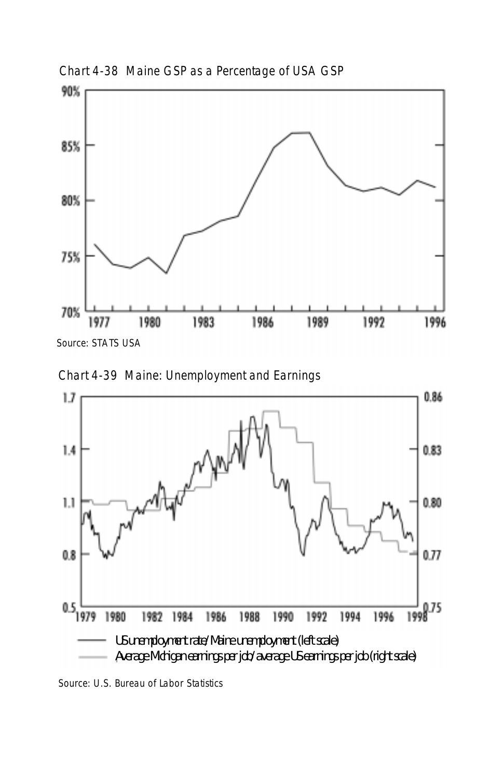

Chart 4-38 Maine GSP as a Percentage of USA GSP

Source: STATS USA





Source: U.S. Bureau of Labor Statistics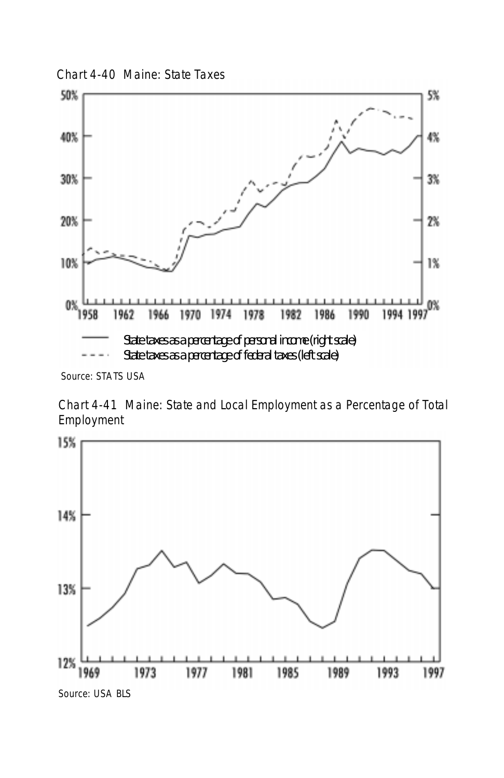Chart 4-40 Maine: State Taxes



Source: STATS USA

Chart 4-41 Maine: State and Local Employment as a Percentage of Total Employment

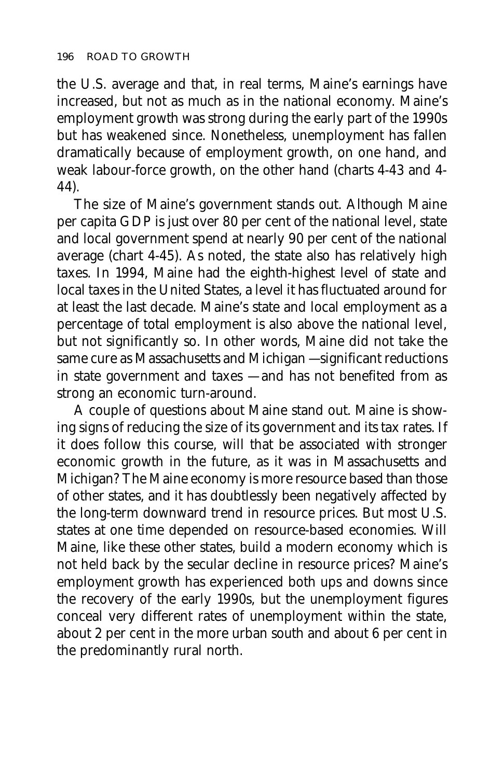the U.S. average and that, in real terms, Maine's earnings have increased, but not as much as in the national economy. Maine's employment growth was strong during the early part of the 1990s but has weakened since. Nonetheless, unemployment has fallen dramatically because of employment growth, on one hand, and weak labour-force growth, on the other hand (charts 4-43 and 4- 44).

The size of Maine's government stands out. Although Maine per capita GDP is just over 80 per cent of the national level, state and local government spend at nearly 90 per cent of the national average (chart 4-45). As noted, the state also has relatively high taxes. In 1994, Maine had the eighth-highest level of state and local taxes in the United States, a level it has fluctuated around for at least the last decade. Maine's state and local employment as a percentage of total employment is also above the national level, but not significantly so. In other words, Maine did not take the same cure as Massachusetts and Michigan — significant reductions in state government and taxes — and has not benefited from as strong an economic turn-around.

A couple of questions about Maine stand out. Maine is showing signs of reducing the size of its government and its tax rates. If it does follow this course, will that be associated with stronger economic growth in the future, as it was in Massachusetts and Michigan? The Maine economy is more resource based than those of other states, and it has doubtlessly been negatively affected by the long-term downward trend in resource prices. But most U.S. states at one time depended on resource-based economies. Will Maine, like these other states, build a modern economy which is not held back by the secular decline in resource prices? Maine's employment growth has experienced both ups and downs since the recovery of the early 1990s, but the unemployment figures conceal very different rates of unemployment within the state, about 2 per cent in the more urban south and about 6 per cent in the predominantly rural north.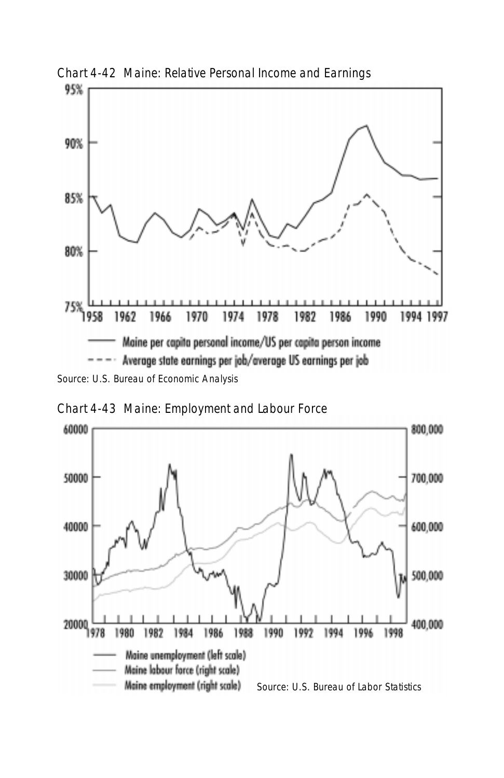

Chart 4-42 Maine: Relative Personal Income and Earnings

Chart 4-43 Maine: Employment and Labour Force

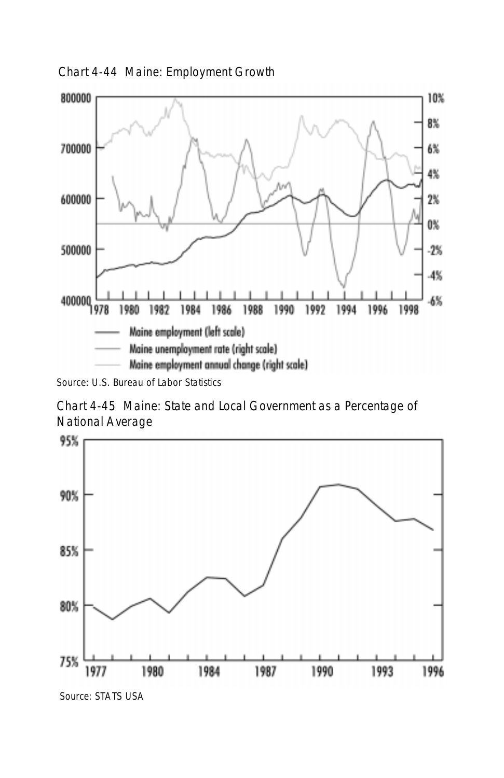Chart 4-44 Maine: Employment Growth



Source: U.S. Bureau of Labor Statistics

Chart 4-45 Maine: State and Local Government as a Percentage of National Average

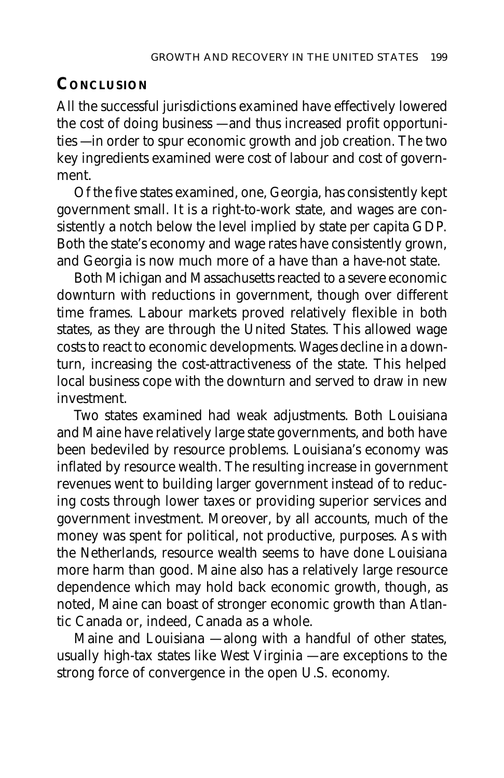# **CONCLUSION**

All the successful jurisdictions examined have effectively lowered the cost of doing business — and thus increased profit opportunities — in order to spur economic growth and job creation. The two key ingredients examined were cost of labour and cost of government.

Of the five states examined, one, Georgia, has consistently kept government small. It is a right-to-work state, and wages are consistently a notch below the level implied by state per capita GDP. Both the state's economy and wage rates have consistently grown, and Georgia is now much more of a have than a have-not state.

Both Michigan and Massachusetts reacted to a severe economic downturn with reductions in government, though over different time frames. Labour markets proved relatively flexible in both states, as they are through the United States. This allowed wage costs to react to economic developments. Wages decline in a downturn, increasing the cost-attractiveness of the state. This helped local business cope with the downturn and served to draw in new investment.

Two states examined had weak adjustments. Both Louisiana and Maine have relatively large state governments, and both have been bedeviled by resource problems. Louisiana's economy was inflated by resource wealth. The resulting increase in government revenues went to building larger government instead of to reducing costs through lower taxes or providing superior services and government investment. Moreover, by all accounts, much of the money was spent for political, not productive, purposes. As with the Netherlands, resource wealth seems to have done Louisiana more harm than good. Maine also has a relatively large resource dependence which may hold back economic growth, though, as noted, Maine can boast of stronger economic growth than Atlantic Canada or, indeed, Canada as a whole.

Maine and Louisiana — along with a handful of other states, usually high-tax states like West Virginia — are exceptions to the strong force of convergence in the open U.S. economy.